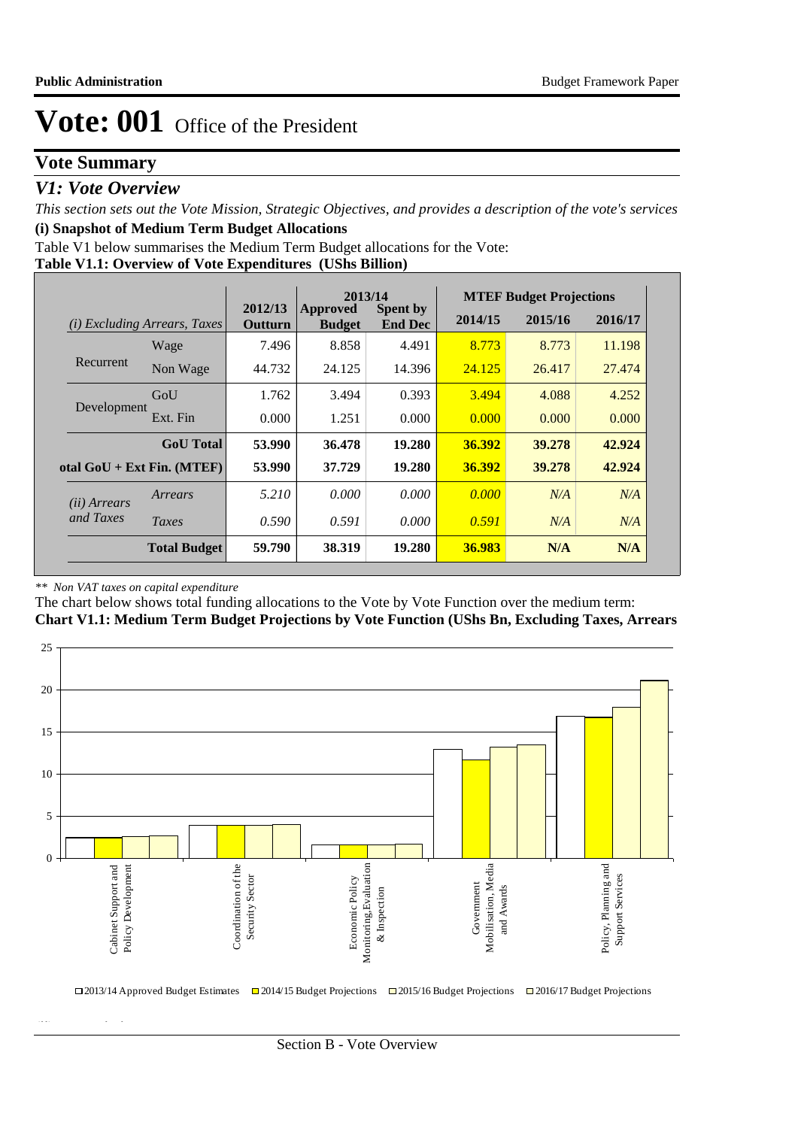## **Vote Summary**

## *V1: Vote Overview*

*This section sets out the Vote Mission, Strategic Objectives, and provides a description of the vote's services* **(i) Snapshot of Medium Term Budget Allocations** 

Table V1 below summarises the Medium Term Budget allocations for the Vote:

## **Table V1.1: Overview of Vote Expenditures (UShs Billion)**

|                       |                                     |                    | 2013/14                   |                                   |         | <b>MTEF Budget Projections</b> |         |
|-----------------------|-------------------------------------|--------------------|---------------------------|-----------------------------------|---------|--------------------------------|---------|
|                       | <i>(i)</i> Excluding Arrears, Taxes | 2012/13<br>Outturn | Approved<br><b>Budget</b> | <b>Spent by</b><br><b>End Dec</b> | 2014/15 | 2015/16                        | 2016/17 |
|                       | Wage                                | 7.496              | 8.858                     | 4.491                             | 8.773   | 8.773                          | 11.198  |
| Recurrent             | Non Wage                            | 44.732             | 24.125                    | 14.396                            | 24.125  | 26.417                         | 27.474  |
|                       | GoU                                 | 1.762              | 3.494                     | 0.393                             | 3.494   | 4.088                          | 4.252   |
| Development           | Ext. Fin                            | 0.000              | 1.251                     | 0.000                             | 0.000   | 0.000                          | 0.000   |
|                       | <b>GoU</b> Total                    | 53.990             | 36.478                    | 19.280                            | 36.392  | 39.278                         | 42.924  |
|                       | otal $GoU + Ext Fin. (MTEF)$        | 53.990             | 37.729                    | 19.280                            | 36.392  | 39.278                         | 42.924  |
| ( <i>ii</i> ) Arrears | Arrears                             | 5.210              | 0.000                     | 0.000                             | 0.000   | N/A                            | N/A     |
| and Taxes             | Taxes                               | 0.590              | 0.591                     | 0.000                             | 0.591   | N/A                            | N/A     |
|                       | <b>Total Budget</b>                 | 59.790             | 38.319                    | 19.280                            | 36.983  | N/A                            | N/A     |

#### *\*\* Non VAT taxes on capital expenditure*

**(ii) Vote Mission Statement**

The chart below shows total funding allocations to the Vote by Vote Function over the medium term:

## **Chart V1.1: Medium Term Budget Projections by Vote Function (UShs Bn, Excluding Taxes, Arrears**

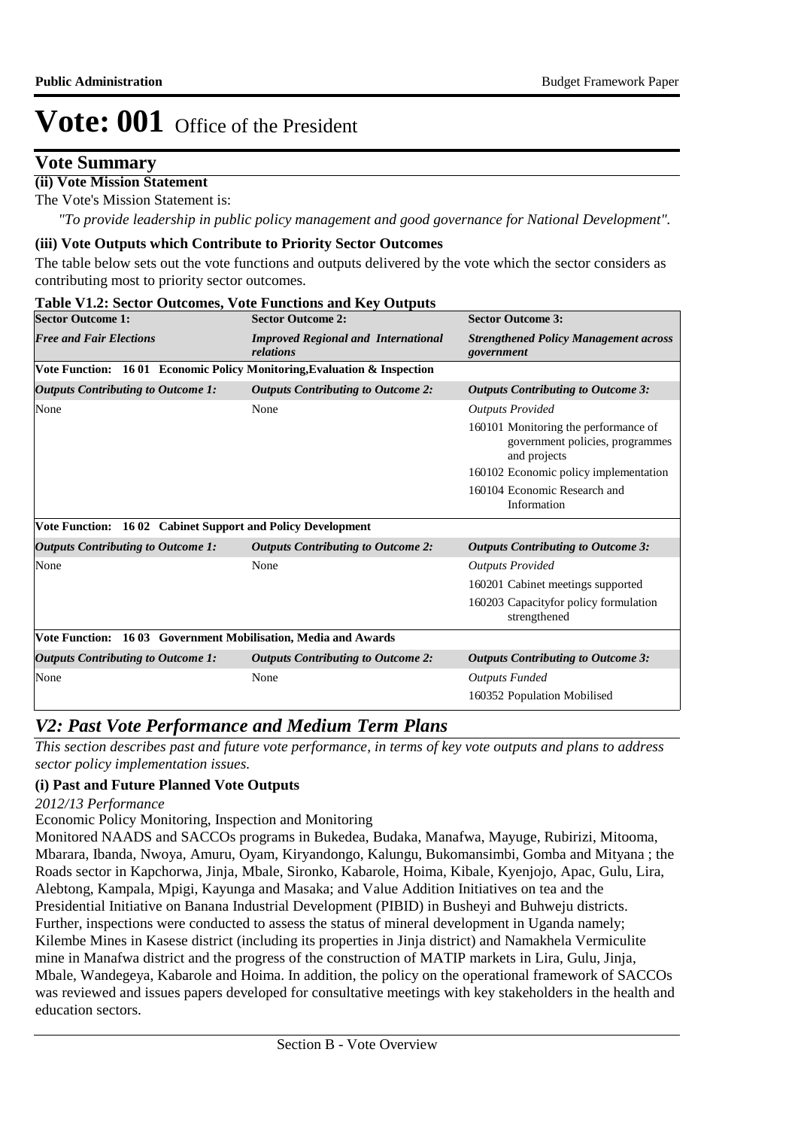## **Vote Summary**

### **(ii) Vote Mission Statement**

The Vote's Mission Statement is:

*"To provide leadership in public policy management and good governance for National Development".*

### **(iii) Vote Outputs which Contribute to Priority Sector Outcomes**

The table below sets out the vote functions and outputs delivered by the vote which the sector considers as contributing most to priority sector outcomes.

#### **Table V1.2: Sector Outcomes, Vote Functions and Key Outputs Sector Outcome 1: Sector Outcome 2: Sector Outcome 3:** *Free and Fair Elections Improved Regional and International relations Strengthened Policy Management across government* **Vote Function: 16 01 Economic Policy Monitoring,Evaluation & Inspection** *Outputs Contributing to Outcome 1: Outputs Contributing to Outcome 2: Outputs Contributing to Outcome 3:* None None *Outputs Provided* 160101 Monitoring the performance of government policies, programmes and projects 160102 Economic policy implementation 160104 Economic Research and Information **Vote Function: 16 02 Cabinet Support and Policy Development** *Outputs Contributing to Outcome 1: Outputs Contributing to Outcome 2: Outputs Contributing to Outcome 3:* None None *Outputs Provided* 160201 Cabinet meetings supported 160203 Capacityfor policy formulation strengthened **Vote Function: 16 03 Government Mobilisation, Media and Awards** *Outputs Contributing to Outcome 1: Outputs Contributing to Outcome 2: Outputs Contributing to Outcome 3:* None None *Outputs Funded* 160352 Population Mobilised

## *V2: Past Vote Performance and Medium Term Plans*

*This section describes past and future vote performance, in terms of key vote outputs and plans to address sector policy implementation issues.* 

## **(i) Past and Future Planned Vote Outputs**

### *2012/13 Performance*

Economic Policy Monitoring, Inspection and Monitoring

Monitored NAADS and SACCOs programs in Bukedea, Budaka, Manafwa, Mayuge, Rubirizi, Mitooma, Mbarara, Ibanda, Nwoya, Amuru, Oyam, Kiryandongo, Kalungu, Bukomansimbi, Gomba and Mityana ; the Roads sector in Kapchorwa, Jinja, Mbale, Sironko, Kabarole, Hoima, Kibale, Kyenjojo, Apac, Gulu, Lira, Alebtong, Kampala, Mpigi, Kayunga and Masaka; and Value Addition Initiatives on tea and the Presidential Initiative on Banana Industrial Development (PIBID) in Busheyi and Buhweju districts. Further, inspections were conducted to assess the status of mineral development in Uganda namely; Kilembe Mines in Kasese district (including its properties in Jinja district) and Namakhela Vermiculite mine in Manafwa district and the progress of the construction of MATIP markets in Lira, Gulu, Jinja, Mbale, Wandegeya, Kabarole and Hoima. In addition, the policy on the operational framework of SACCOs was reviewed and issues papers developed for consultative meetings with key stakeholders in the health and education sectors.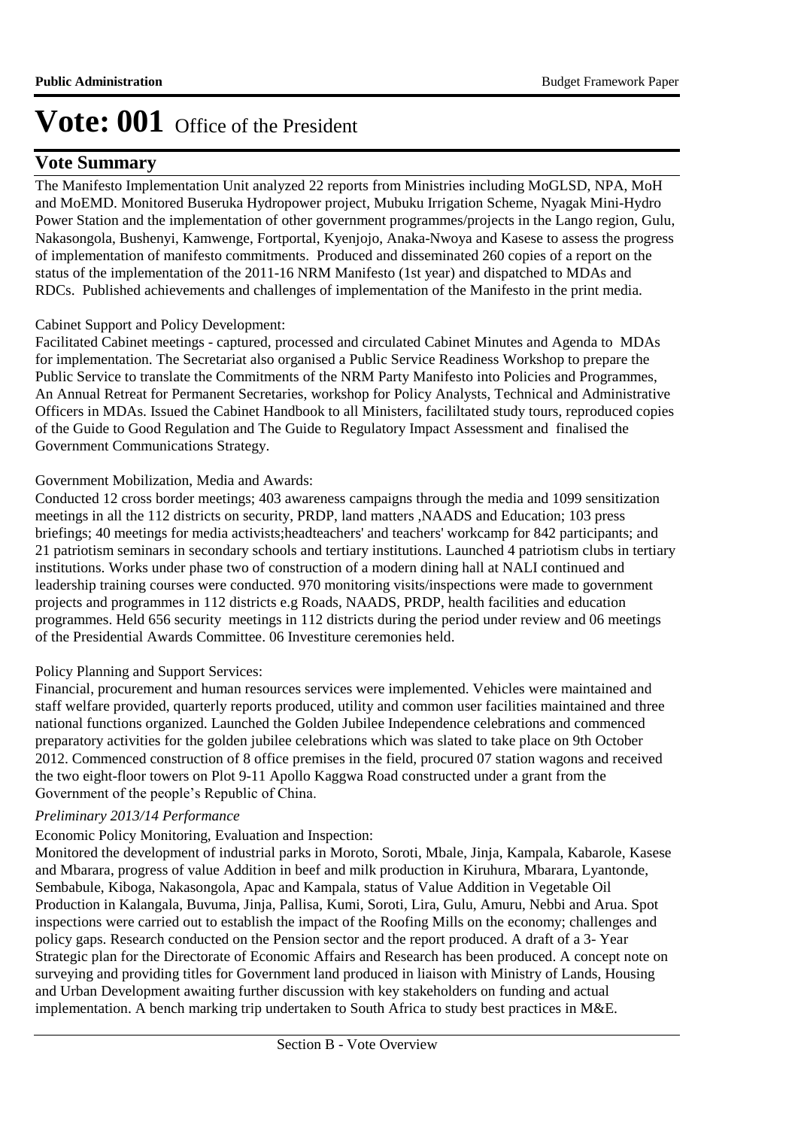## **Vote Summary**

The Manifesto Implementation Unit analyzed 22 reports from Ministries including MoGLSD, NPA, MoH and MoEMD. Monitored Buseruka Hydropower project, Mubuku Irrigation Scheme, Nyagak Mini-Hydro Power Station and the implementation of other government programmes/projects in the Lango region, Gulu, Nakasongola, Bushenyi, Kamwenge, Fortportal, Kyenjojo, Anaka-Nwoya and Kasese to assess the progress of implementation of manifesto commitments. Produced and disseminated 260 copies of a report on the status of the implementation of the 2011-16 NRM Manifesto (1st year) and dispatched to MDAs and RDCs. Published achievements and challenges of implementation of the Manifesto in the print media.

### Cabinet Support and Policy Development:

Facilitated Cabinet meetings - captured, processed and circulated Cabinet Minutes and Agenda to MDAs for implementation. The Secretariat also organised a Public Service Readiness Workshop to prepare the Public Service to translate the Commitments of the NRM Party Manifesto into Policies and Programmes, An Annual Retreat for Permanent Secretaries, workshop for Policy Analysts, Technical and Administrative Officers in MDAs. Issued the Cabinet Handbook to all Ministers, facililtated study tours, reproduced copies of the Guide to Good Regulation and The Guide to Regulatory Impact Assessment and finalised the Government Communications Strategy.

### Government Mobilization, Media and Awards:

Conducted 12 cross border meetings; 403 awareness campaigns through the media and 1099 sensitization meetings in all the 112 districts on security, PRDP, land matters ,NAADS and Education; 103 press briefings; 40 meetings for media activists;headteachers' and teachers' workcamp for 842 participants; and 21 patriotism seminars in secondary schools and tertiary institutions. Launched 4 patriotism clubs in tertiary institutions. Works under phase two of construction of a modern dining hall at NALI continued and leadership training courses were conducted. 970 monitoring visits/inspections were made to government projects and programmes in 112 districts e.g Roads, NAADS, PRDP, health facilities and education programmes. Held 656 security meetings in 112 districts during the period under review and 06 meetings of the Presidential Awards Committee. 06 Investiture ceremonies held.

## Policy Planning and Support Services:

Financial, procurement and human resources services were implemented. Vehicles were maintained and staff welfare provided, quarterly reports produced, utility and common user facilities maintained and three national functions organized. Launched the Golden Jubilee Independence celebrations and commenced preparatory activities for the golden jubilee celebrations which was slated to take place on 9th October 2012. Commenced construction of 8 office premises in the field, procured 07 station wagons and received the two eight-floor towers on Plot 9-11 Apollo Kaggwa Road constructed under a grant from the Government of the people's Republic of China.

### *Preliminary 2013/14 Performance*

## Economic Policy Monitoring, Evaluation and Inspection:

Monitored the development of industrial parks in Moroto, Soroti, Mbale, Jinja, Kampala, Kabarole, Kasese and Mbarara, progress of value Addition in beef and milk production in Kiruhura, Mbarara, Lyantonde, Sembabule, Kiboga, Nakasongola, Apac and Kampala, status of Value Addition in Vegetable Oil Production in Kalangala, Buvuma, Jinja, Pallisa, Kumi, Soroti, Lira, Gulu, Amuru, Nebbi and Arua. Spot inspections were carried out to establish the impact of the Roofing Mills on the economy; challenges and policy gaps. Research conducted on the Pension sector and the report produced. A draft of a 3- Year Strategic plan for the Directorate of Economic Affairs and Research has been produced. A concept note on surveying and providing titles for Government land produced in liaison with Ministry of Lands, Housing and Urban Development awaiting further discussion with key stakeholders on funding and actual implementation. A bench marking trip undertaken to South Africa to study best practices in M&E.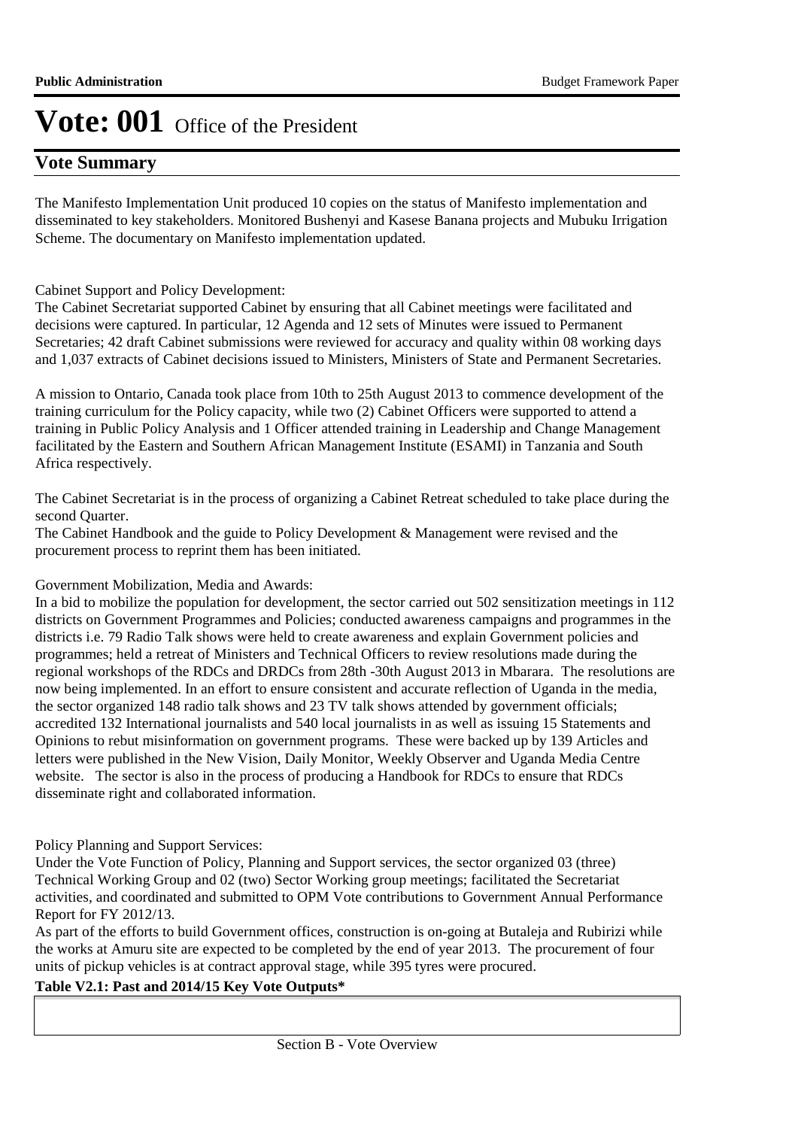## **Vote Summary**

The Manifesto Implementation Unit produced 10 copies on the status of Manifesto implementation and disseminated to key stakeholders. Monitored Bushenyi and Kasese Banana projects and Mubuku Irrigation Scheme. The documentary on Manifesto implementation updated.

### Cabinet Support and Policy Development:

The Cabinet Secretariat supported Cabinet by ensuring that all Cabinet meetings were facilitated and decisions were captured. In particular, 12 Agenda and 12 sets of Minutes were issued to Permanent Secretaries; 42 draft Cabinet submissions were reviewed for accuracy and quality within 08 working days and 1,037 extracts of Cabinet decisions issued to Ministers, Ministers of State and Permanent Secretaries.

A mission to Ontario, Canada took place from 10th to 25th August 2013 to commence development of the training curriculum for the Policy capacity, while two (2) Cabinet Officers were supported to attend a training in Public Policy Analysis and 1 Officer attended training in Leadership and Change Management facilitated by the Eastern and Southern African Management Institute (ESAMI) in Tanzania and South Africa respectively.

The Cabinet Secretariat is in the process of organizing a Cabinet Retreat scheduled to take place during the second Quarter.

The Cabinet Handbook and the guide to Policy Development & Management were revised and the procurement process to reprint them has been initiated.

### Government Mobilization, Media and Awards:

In a bid to mobilize the population for development, the sector carried out 502 sensitization meetings in 112 districts on Government Programmes and Policies; conducted awareness campaigns and programmes in the districts i.e. 79 Radio Talk shows were held to create awareness and explain Government policies and programmes; held a retreat of Ministers and Technical Officers to review resolutions made during the regional workshops of the RDCs and DRDCs from 28th -30th August 2013 in Mbarara. The resolutions are now being implemented. In an effort to ensure consistent and accurate reflection of Uganda in the media, the sector organized 148 radio talk shows and 23 TV talk shows attended by government officials; accredited 132 International journalists and 540 local journalists in as well as issuing 15 Statements and Opinions to rebut misinformation on government programs. These were backed up by 139 Articles and letters were published in the New Vision, Daily Monitor, Weekly Observer and Uganda Media Centre website. The sector is also in the process of producing a Handbook for RDCs to ensure that RDCs disseminate right and collaborated information.

### Policy Planning and Support Services:

Under the Vote Function of Policy, Planning and Support services, the sector organized 03 (three) Technical Working Group and 02 (two) Sector Working group meetings; facilitated the Secretariat activities, and coordinated and submitted to OPM Vote contributions to Government Annual Performance Report for FY 2012/13.

As part of the efforts to build Government offices, construction is on-going at Butaleja and Rubirizi while the works at Amuru site are expected to be completed by the end of year 2013. The procurement of four units of pickup vehicles is at contract approval stage, while 395 tyres were procured.

### **Table V2.1: Past and 2014/15 Key Vote Outputs\***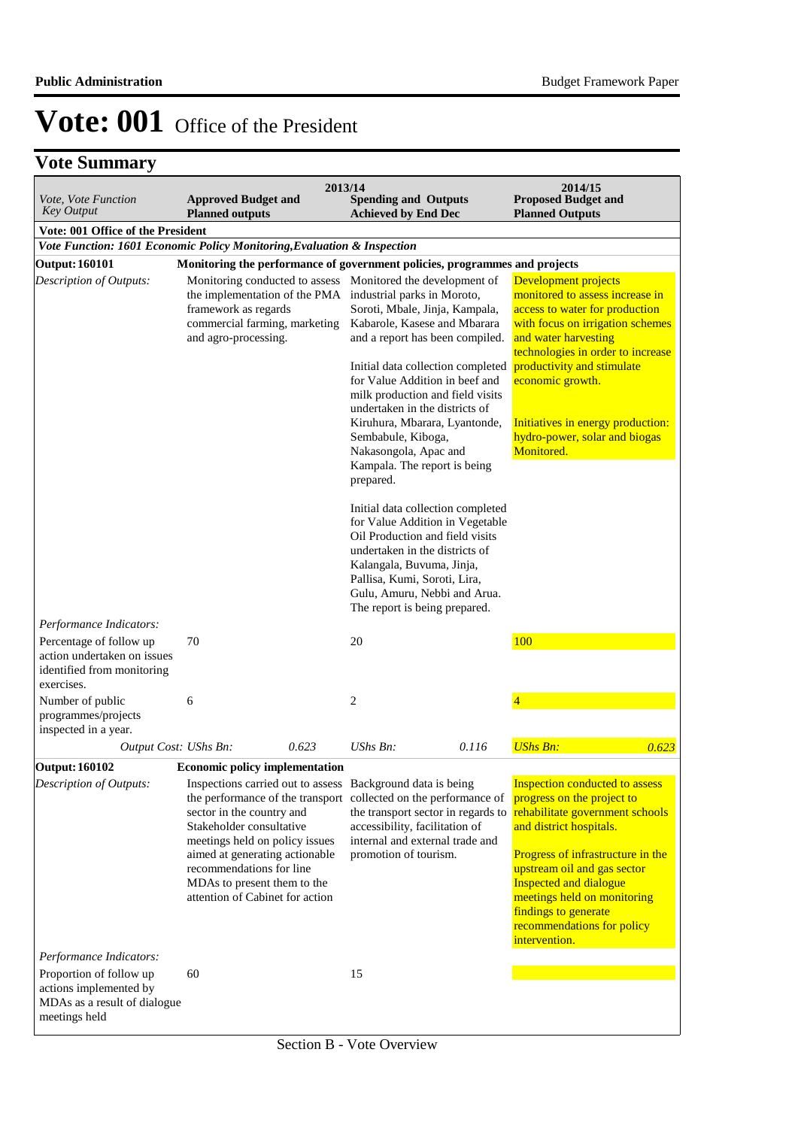| Vote, Vote Function<br><b>Key Output</b>                                                           | <b>Approved Budget and</b><br><b>Planned outputs</b>                                                                                                                                                                                                                                             | 2013/14 | <b>Spending and Outputs</b><br><b>Achieved by End Dec</b>                                                                                                                                                                                                                                                                                                                                                                                                                                                                                                                                                                                                                                                                                                                          |       | 2014/15<br><b>Proposed Budget and</b><br><b>Planned Outputs</b>                                                                                                                                                                                                                                                                              |
|----------------------------------------------------------------------------------------------------|--------------------------------------------------------------------------------------------------------------------------------------------------------------------------------------------------------------------------------------------------------------------------------------------------|---------|------------------------------------------------------------------------------------------------------------------------------------------------------------------------------------------------------------------------------------------------------------------------------------------------------------------------------------------------------------------------------------------------------------------------------------------------------------------------------------------------------------------------------------------------------------------------------------------------------------------------------------------------------------------------------------------------------------------------------------------------------------------------------------|-------|----------------------------------------------------------------------------------------------------------------------------------------------------------------------------------------------------------------------------------------------------------------------------------------------------------------------------------------------|
| Vote: 001 Office of the President                                                                  |                                                                                                                                                                                                                                                                                                  |         |                                                                                                                                                                                                                                                                                                                                                                                                                                                                                                                                                                                                                                                                                                                                                                                    |       |                                                                                                                                                                                                                                                                                                                                              |
| Vote Function: 1601 Economic Policy Monitoring, Evaluation & Inspection                            |                                                                                                                                                                                                                                                                                                  |         |                                                                                                                                                                                                                                                                                                                                                                                                                                                                                                                                                                                                                                                                                                                                                                                    |       |                                                                                                                                                                                                                                                                                                                                              |
| <b>Output: 160101</b>                                                                              |                                                                                                                                                                                                                                                                                                  |         | Monitoring the performance of government policies, programmes and projects                                                                                                                                                                                                                                                                                                                                                                                                                                                                                                                                                                                                                                                                                                         |       |                                                                                                                                                                                                                                                                                                                                              |
| Description of Outputs:                                                                            | framework as regards<br>commercial farming, marketing<br>and agro-processing.                                                                                                                                                                                                                    |         | Monitoring conducted to assess Monitored the development of<br>the implementation of the PMA industrial parks in Moroto,<br>Soroti, Mbale, Jinja, Kampala,<br>Kabarole, Kasese and Mbarara<br>and a report has been compiled.<br>Initial data collection completed<br>for Value Addition in beef and<br>milk production and field visits<br>undertaken in the districts of<br>Kiruhura, Mbarara, Lyantonde,<br>Sembabule, Kiboga,<br>Nakasongola, Apac and<br>Kampala. The report is being<br>prepared.<br>Initial data collection completed<br>for Value Addition in Vegetable<br>Oil Production and field visits<br>undertaken in the districts of<br>Kalangala, Buvuma, Jinja,<br>Pallisa, Kumi, Soroti, Lira,<br>Gulu, Amuru, Nebbi and Arua.<br>The report is being prepared. |       | Development projects<br>monitored to assess increase in<br>access to water for production<br>with focus on irrigation schemes<br>and water harvesting<br>technologies in order to increase<br>productivity and stimulate<br>economic growth.<br>Initiatives in energy production:<br>hydro-power, solar and biogas<br>Monitored.             |
| Performance Indicators:                                                                            |                                                                                                                                                                                                                                                                                                  |         |                                                                                                                                                                                                                                                                                                                                                                                                                                                                                                                                                                                                                                                                                                                                                                                    |       |                                                                                                                                                                                                                                                                                                                                              |
| Percentage of follow up<br>action undertaken on issues<br>identified from monitoring<br>exercises. | 70                                                                                                                                                                                                                                                                                               |         | 20                                                                                                                                                                                                                                                                                                                                                                                                                                                                                                                                                                                                                                                                                                                                                                                 |       | 100                                                                                                                                                                                                                                                                                                                                          |
| Number of public<br>programmes/projects<br>inspected in a year.                                    | 6                                                                                                                                                                                                                                                                                                |         | $\overline{c}$                                                                                                                                                                                                                                                                                                                                                                                                                                                                                                                                                                                                                                                                                                                                                                     |       | 4                                                                                                                                                                                                                                                                                                                                            |
| Output Cost: UShs Bn:                                                                              |                                                                                                                                                                                                                                                                                                  | 0.623   | $UShs Bn$ :                                                                                                                                                                                                                                                                                                                                                                                                                                                                                                                                                                                                                                                                                                                                                                        | 0.116 | <b>UShs Bn:</b><br>0.623                                                                                                                                                                                                                                                                                                                     |
| <b>Output: 160102</b>                                                                              | <b>Economic policy implementation</b>                                                                                                                                                                                                                                                            |         |                                                                                                                                                                                                                                                                                                                                                                                                                                                                                                                                                                                                                                                                                                                                                                                    |       |                                                                                                                                                                                                                                                                                                                                              |
| Description of Outputs:                                                                            | Inspections carried out to assess<br>the performance of the transport<br>sector in the country and<br>Stakeholder consultative<br>meetings held on policy issues<br>aimed at generating actionable<br>recommendations for line<br>MDAs to present them to the<br>attention of Cabinet for action |         | Background data is being<br>collected on the performance of<br>the transport sector in regards to<br>accessibility, facilitation of<br>internal and external trade and<br>promotion of tourism.                                                                                                                                                                                                                                                                                                                                                                                                                                                                                                                                                                                    |       | <b>Inspection conducted to assess</b><br>progress on the project to<br>rehabilitate government schools<br>and district hospitals.<br>Progress of infrastructure in the<br>upstream oil and gas sector<br><b>Inspected and dialogue</b><br>meetings held on monitoring<br>findings to generate<br>recommendations for policy<br>intervention. |
| Performance Indicators:                                                                            |                                                                                                                                                                                                                                                                                                  |         |                                                                                                                                                                                                                                                                                                                                                                                                                                                                                                                                                                                                                                                                                                                                                                                    |       |                                                                                                                                                                                                                                                                                                                                              |
| Proportion of follow up<br>actions implemented by<br>MDAs as a result of dialogue<br>meetings held | 60                                                                                                                                                                                                                                                                                               |         | 15                                                                                                                                                                                                                                                                                                                                                                                                                                                                                                                                                                                                                                                                                                                                                                                 |       |                                                                                                                                                                                                                                                                                                                                              |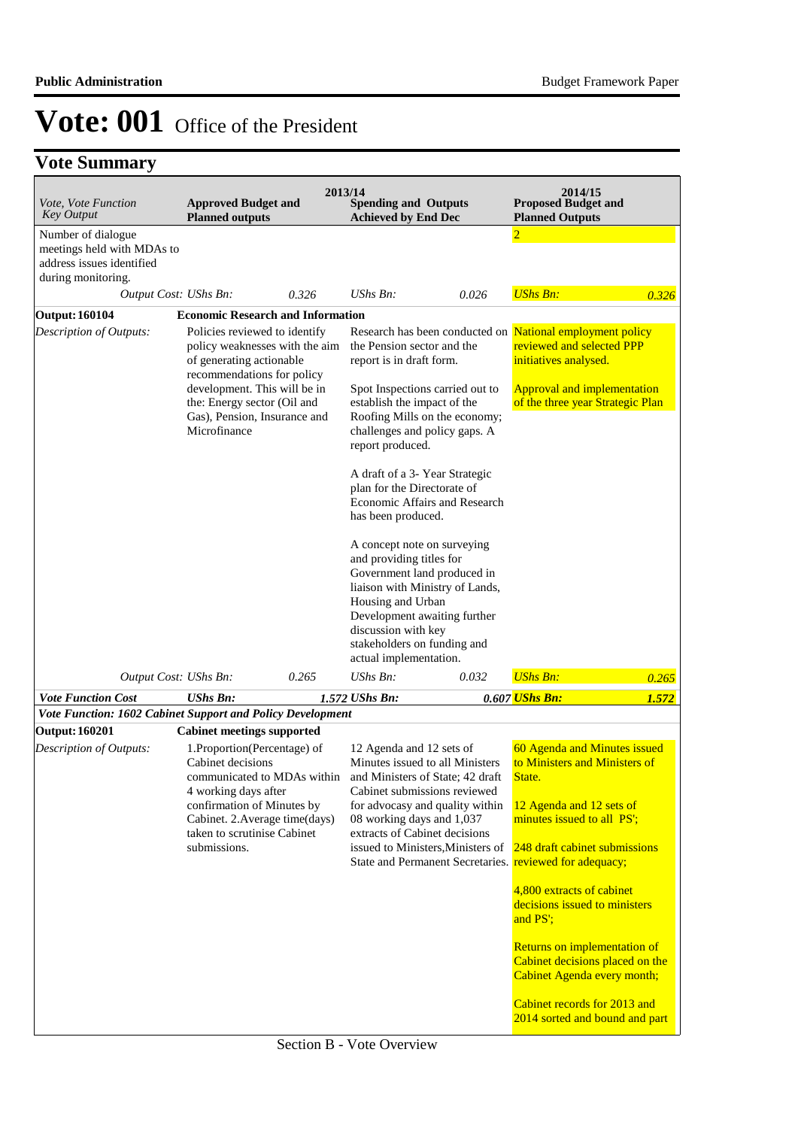|                 |                                                                              |                                                                                                                                                                                                                                                                                                                                                                                                                                                                                                  |                                                                                                                                                                    | 2014/15<br><b>Proposed Budget and</b><br><b>Planned Outputs</b>                                                                                                                                                                                                                                                                                                                                                                                                                                                                                                                                                                                                                                                                                                                                                                                                                                                                                |                                                                                                             |
|-----------------|------------------------------------------------------------------------------|--------------------------------------------------------------------------------------------------------------------------------------------------------------------------------------------------------------------------------------------------------------------------------------------------------------------------------------------------------------------------------------------------------------------------------------------------------------------------------------------------|--------------------------------------------------------------------------------------------------------------------------------------------------------------------|------------------------------------------------------------------------------------------------------------------------------------------------------------------------------------------------------------------------------------------------------------------------------------------------------------------------------------------------------------------------------------------------------------------------------------------------------------------------------------------------------------------------------------------------------------------------------------------------------------------------------------------------------------------------------------------------------------------------------------------------------------------------------------------------------------------------------------------------------------------------------------------------------------------------------------------------|-------------------------------------------------------------------------------------------------------------|
|                 |                                                                              |                                                                                                                                                                                                                                                                                                                                                                                                                                                                                                  |                                                                                                                                                                    | $\overline{2}$                                                                                                                                                                                                                                                                                                                                                                                                                                                                                                                                                                                                                                                                                                                                                                                                                                                                                                                                 |                                                                                                             |
|                 | 0.326                                                                        | <b>UShs Bn:</b>                                                                                                                                                                                                                                                                                                                                                                                                                                                                                  | 0.026                                                                                                                                                              | <b>UShs Bn:</b>                                                                                                                                                                                                                                                                                                                                                                                                                                                                                                                                                                                                                                                                                                                                                                                                                                                                                                                                | 0.326                                                                                                       |
|                 |                                                                              |                                                                                                                                                                                                                                                                                                                                                                                                                                                                                                  |                                                                                                                                                                    |                                                                                                                                                                                                                                                                                                                                                                                                                                                                                                                                                                                                                                                                                                                                                                                                                                                                                                                                                |                                                                                                             |
| Microfinance    |                                                                              |                                                                                                                                                                                                                                                                                                                                                                                                                                                                                                  |                                                                                                                                                                    | National employment policy<br>reviewed and selected PPP<br>initiatives analysed.<br><b>Approval and implementation</b><br>of the three year Strategic Plan                                                                                                                                                                                                                                                                                                                                                                                                                                                                                                                                                                                                                                                                                                                                                                                     |                                                                                                             |
|                 | 0.265                                                                        | UShs Bn:                                                                                                                                                                                                                                                                                                                                                                                                                                                                                         | 0.032                                                                                                                                                              | <b>UShs Bn:</b>                                                                                                                                                                                                                                                                                                                                                                                                                                                                                                                                                                                                                                                                                                                                                                                                                                                                                                                                | 0.265                                                                                                       |
| <b>UShs Bn:</b> |                                                                              |                                                                                                                                                                                                                                                                                                                                                                                                                                                                                                  |                                                                                                                                                                    |                                                                                                                                                                                                                                                                                                                                                                                                                                                                                                                                                                                                                                                                                                                                                                                                                                                                                                                                                | 1.572                                                                                                       |
|                 |                                                                              |                                                                                                                                                                                                                                                                                                                                                                                                                                                                                                  |                                                                                                                                                                    |                                                                                                                                                                                                                                                                                                                                                                                                                                                                                                                                                                                                                                                                                                                                                                                                                                                                                                                                                |                                                                                                             |
|                 |                                                                              |                                                                                                                                                                                                                                                                                                                                                                                                                                                                                                  |                                                                                                                                                                    |                                                                                                                                                                                                                                                                                                                                                                                                                                                                                                                                                                                                                                                                                                                                                                                                                                                                                                                                                |                                                                                                             |
| submissions.    |                                                                              |                                                                                                                                                                                                                                                                                                                                                                                                                                                                                                  |                                                                                                                                                                    | 60 Agenda and Minutes issued<br>to Ministers and Ministers of<br>State.<br>12 Agenda and 12 sets of<br>minutes issued to all PS';<br>248 draft cabinet submissions<br>4,800 extracts of cabinet<br>decisions issued to ministers<br>and PS';<br>Returns on implementation of<br>Cabinet decisions placed on the<br>Cabinet Agenda every month;                                                                                                                                                                                                                                                                                                                                                                                                                                                                                                                                                                                                 |                                                                                                             |
|                 | meetings held with MDAs to<br>Output Cost: UShs Bn:<br>Output Cost: UShs Bn: | <b>Approved Budget and</b><br><b>Planned outputs</b><br>Policies reviewed to identify<br>policy weaknesses with the aim<br>of generating actionable<br>recommendations for policy<br>development. This will be in<br>the: Energy sector (Oil and<br>Gas), Pension, Insurance and<br><b>Cabinet meetings supported</b><br>1.Proportion(Percentage) of<br>Cabinet decisions<br>4 working days after<br>confirmation of Minutes by<br>Cabinet. 2. Average time(days)<br>taken to scrutinise Cabinet | 2013/14<br><b>Economic Research and Information</b><br>1.572 UShs Bn:<br>Vote Function: 1602 Cabinet Support and Policy Development<br>communicated to MDAs within | <b>Spending and Outputs</b><br><b>Achieved by End Dec</b><br>the Pension sector and the<br>report is in draft form.<br>Spot Inspections carried out to<br>establish the impact of the<br>Roofing Mills on the economy;<br>challenges and policy gaps. A<br>report produced.<br>A draft of a 3- Year Strategic<br>plan for the Directorate of<br>Economic Affairs and Research<br>has been produced.<br>A concept note on surveying<br>and providing titles for<br>Government land produced in<br>liaison with Ministry of Lands,<br>Housing and Urban<br>Development awaiting further<br>discussion with key<br>stakeholders on funding and<br>actual implementation.<br>12 Agenda and 12 sets of<br>Minutes issued to all Ministers<br>and Ministers of State; 42 draft<br>Cabinet submissions reviewed<br>for advocasy and quality within<br>08 working days and 1,037<br>extracts of Cabinet decisions<br>issued to Ministers, Ministers of | Research has been conducted on<br>0.607 UShs Bn:<br>State and Permanent Secretaries. reviewed for adequacy; |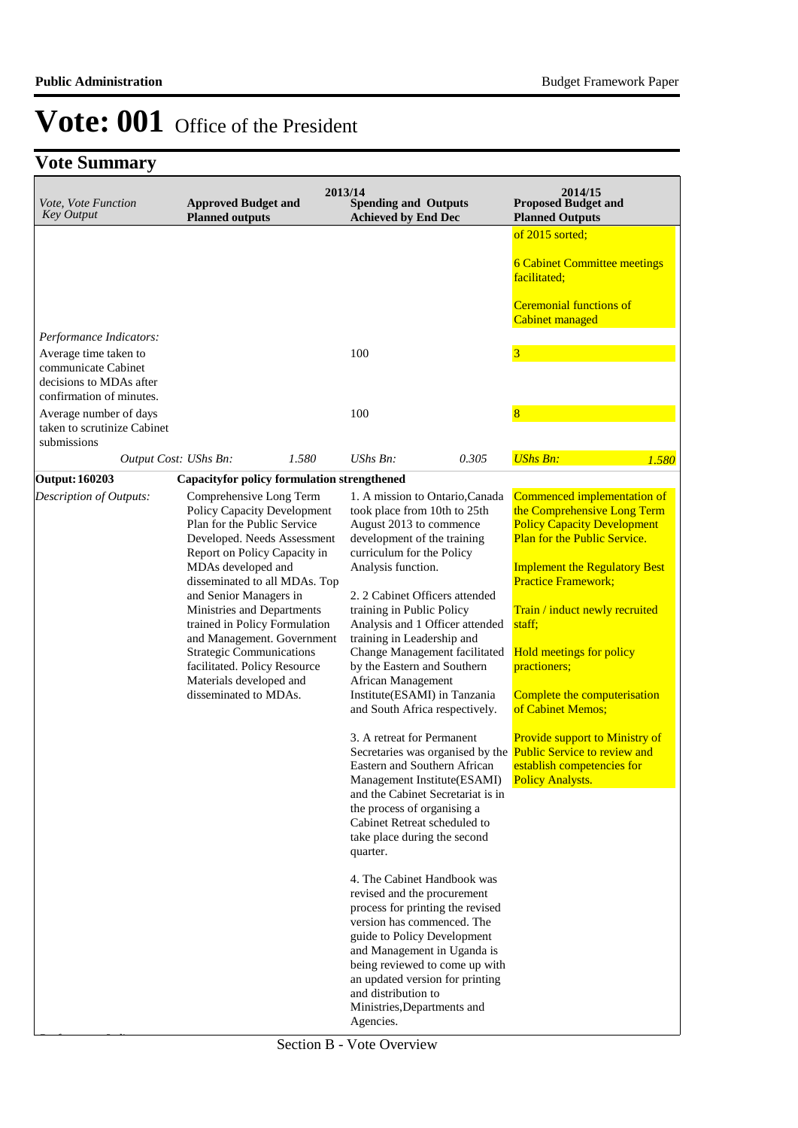| Vote, Vote Function<br><b>Key Output</b>                                | <b>Approved Budget and</b><br><b>Planned outputs</b>                                                                                                                                                                                                                                                                                                                                                                                                      | 2013/14<br><b>Spending and Outputs</b><br><b>Achieved by End Dec</b>                                                                                                                                                                                                                                                                                                                                                                                                                                                                                                                                                                                                                                                                                                                                                                                                                                               | 2014/15<br><b>Proposed Budget and</b><br><b>Planned Outputs</b>                                                                                                                                                                                                                                                                                                                                                                                              |
|-------------------------------------------------------------------------|-----------------------------------------------------------------------------------------------------------------------------------------------------------------------------------------------------------------------------------------------------------------------------------------------------------------------------------------------------------------------------------------------------------------------------------------------------------|--------------------------------------------------------------------------------------------------------------------------------------------------------------------------------------------------------------------------------------------------------------------------------------------------------------------------------------------------------------------------------------------------------------------------------------------------------------------------------------------------------------------------------------------------------------------------------------------------------------------------------------------------------------------------------------------------------------------------------------------------------------------------------------------------------------------------------------------------------------------------------------------------------------------|--------------------------------------------------------------------------------------------------------------------------------------------------------------------------------------------------------------------------------------------------------------------------------------------------------------------------------------------------------------------------------------------------------------------------------------------------------------|
|                                                                         |                                                                                                                                                                                                                                                                                                                                                                                                                                                           |                                                                                                                                                                                                                                                                                                                                                                                                                                                                                                                                                                                                                                                                                                                                                                                                                                                                                                                    | of 2015 sorted;                                                                                                                                                                                                                                                                                                                                                                                                                                              |
|                                                                         |                                                                                                                                                                                                                                                                                                                                                                                                                                                           |                                                                                                                                                                                                                                                                                                                                                                                                                                                                                                                                                                                                                                                                                                                                                                                                                                                                                                                    | <b>6 Cabinet Committee meetings</b><br>facilitated:                                                                                                                                                                                                                                                                                                                                                                                                          |
|                                                                         |                                                                                                                                                                                                                                                                                                                                                                                                                                                           |                                                                                                                                                                                                                                                                                                                                                                                                                                                                                                                                                                                                                                                                                                                                                                                                                                                                                                                    | <b>Ceremonial functions of</b><br>Cabinet managed                                                                                                                                                                                                                                                                                                                                                                                                            |
| Performance Indicators:                                                 |                                                                                                                                                                                                                                                                                                                                                                                                                                                           |                                                                                                                                                                                                                                                                                                                                                                                                                                                                                                                                                                                                                                                                                                                                                                                                                                                                                                                    |                                                                                                                                                                                                                                                                                                                                                                                                                                                              |
| Average time taken to<br>communicate Cabinet<br>decisions to MDAs after |                                                                                                                                                                                                                                                                                                                                                                                                                                                           | 100                                                                                                                                                                                                                                                                                                                                                                                                                                                                                                                                                                                                                                                                                                                                                                                                                                                                                                                | $\overline{\mathbf{3}}$                                                                                                                                                                                                                                                                                                                                                                                                                                      |
| confirmation of minutes.                                                |                                                                                                                                                                                                                                                                                                                                                                                                                                                           |                                                                                                                                                                                                                                                                                                                                                                                                                                                                                                                                                                                                                                                                                                                                                                                                                                                                                                                    | 8                                                                                                                                                                                                                                                                                                                                                                                                                                                            |
| Average number of days<br>taken to scrutinize Cabinet<br>submissions    |                                                                                                                                                                                                                                                                                                                                                                                                                                                           | 100                                                                                                                                                                                                                                                                                                                                                                                                                                                                                                                                                                                                                                                                                                                                                                                                                                                                                                                |                                                                                                                                                                                                                                                                                                                                                                                                                                                              |
|                                                                         | 1.580<br>Output Cost: UShs Bn:                                                                                                                                                                                                                                                                                                                                                                                                                            | UShs Bn:<br>0.305                                                                                                                                                                                                                                                                                                                                                                                                                                                                                                                                                                                                                                                                                                                                                                                                                                                                                                  | <b>UShs Bn:</b><br>1.580                                                                                                                                                                                                                                                                                                                                                                                                                                     |
| <b>Output: 160203</b>                                                   | <b>Capacityfor policy formulation strengthened</b>                                                                                                                                                                                                                                                                                                                                                                                                        |                                                                                                                                                                                                                                                                                                                                                                                                                                                                                                                                                                                                                                                                                                                                                                                                                                                                                                                    |                                                                                                                                                                                                                                                                                                                                                                                                                                                              |
| Description of Outputs:                                                 | Comprehensive Long Term<br>Policy Capacity Development<br>Plan for the Public Service<br>Developed. Needs Assessment<br>Report on Policy Capacity in<br>MDAs developed and<br>disseminated to all MDAs. Top<br>and Senior Managers in<br>Ministries and Departments<br>trained in Policy Formulation<br>and Management. Government<br><b>Strategic Communications</b><br>facilitated. Policy Resource<br>Materials developed and<br>disseminated to MDAs. | 1. A mission to Ontario, Canada<br>took place from 10th to 25th<br>August 2013 to commence<br>development of the training<br>curriculum for the Policy<br>Analysis function.<br>2. 2 Cabinet Officers attended<br>training in Public Policy<br>Analysis and 1 Officer attended<br>training in Leadership and<br>Change Management facilitated<br>by the Eastern and Southern<br>African Management<br>Institute(ESAMI) in Tanzania<br>and South Africa respectively.<br>3. A retreat for Permanent<br>Secretaries was organised by the Public Service to review and<br>Eastern and Southern African<br>Management Institute(ESAMI)<br>and the Cabinet Secretariat is in<br>the process of organising a<br>Cabinet Retreat scheduled to<br>take place during the second<br>quarter.<br>4. The Cabinet Handbook was<br>revised and the procurement<br>process for printing the revised<br>version has commenced. The | Commenced implementation of<br>the Comprehensive Long Term<br><b>Policy Capacity Development</b><br>Plan for the Public Service.<br><b>Implement the Regulatory Best</b><br><b>Practice Framework;</b><br>Train / induct newly recruited<br>staff;<br><b>Hold meetings for policy</b><br>practioners;<br>Complete the computerisation<br>of Cabinet Memos;<br><b>Provide support to Ministry of</b><br>establish competencies for<br><b>Policy Analysts.</b> |
|                                                                         |                                                                                                                                                                                                                                                                                                                                                                                                                                                           | guide to Policy Development<br>and Management in Uganda is<br>being reviewed to come up with<br>an updated version for printing<br>and distribution to<br>Ministries, Departments and<br>Agencies.                                                                                                                                                                                                                                                                                                                                                                                                                                                                                                                                                                                                                                                                                                                 |                                                                                                                                                                                                                                                                                                                                                                                                                                                              |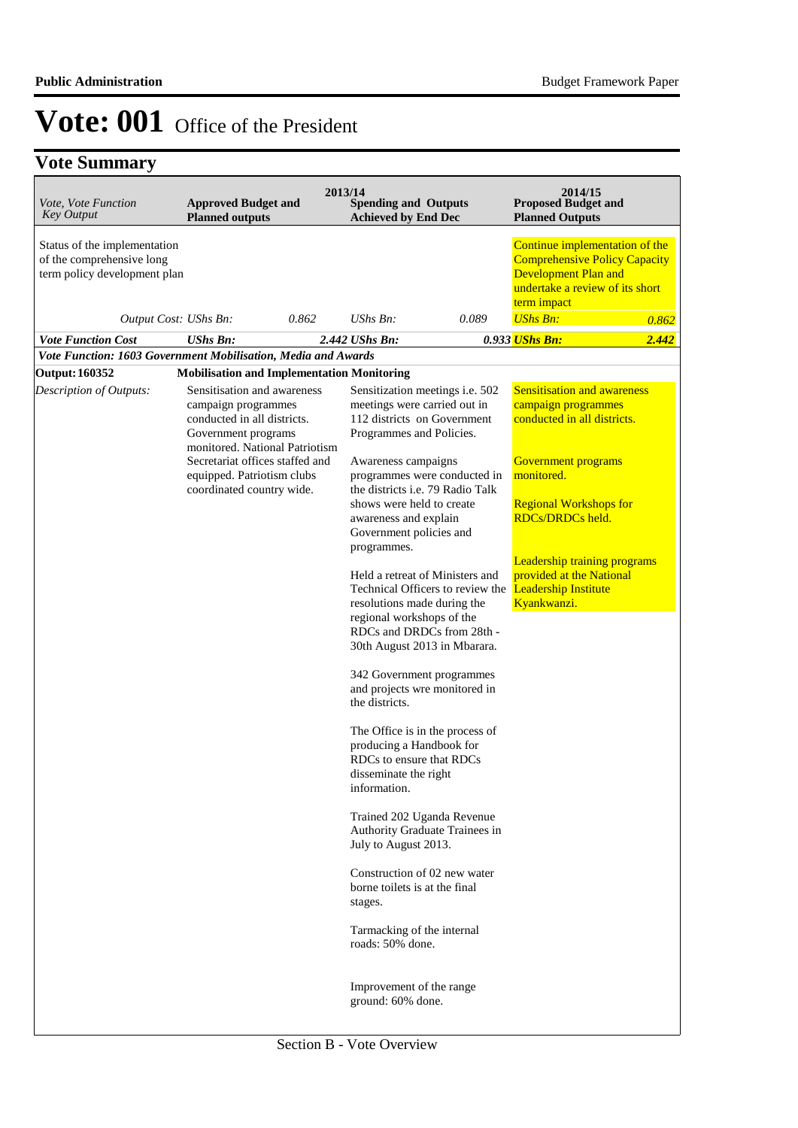| Vote, Vote Function<br><b>Key Output</b>                                                  | <b>Approved Budget and</b><br><b>Planned outputs</b>                                                                                       | 2013/14 | <b>Spending and Outputs</b><br><b>Achieved by End Dec</b>                                                                        |                                  | 2014/15<br><b>Proposed Budget and</b><br><b>Planned Outputs</b>                                                                                  |       |
|-------------------------------------------------------------------------------------------|--------------------------------------------------------------------------------------------------------------------------------------------|---------|----------------------------------------------------------------------------------------------------------------------------------|----------------------------------|--------------------------------------------------------------------------------------------------------------------------------------------------|-------|
| Status of the implementation<br>of the comprehensive long<br>term policy development plan |                                                                                                                                            |         |                                                                                                                                  |                                  | Continue implementation of the<br><b>Comprehensive Policy Capacity</b><br>Development Plan and<br>undertake a review of its short<br>term impact |       |
| Output Cost: UShs Bn:                                                                     |                                                                                                                                            | 0.862   | $UShs Bn$ :                                                                                                                      | 0.089                            | <b>UShs Bn:</b>                                                                                                                                  | 0.862 |
| <b>Vote Function Cost</b>                                                                 | <b>UShs Bn:</b>                                                                                                                            |         | 2.442 UShs Bn:                                                                                                                   |                                  | 0.933 UShs Bn:                                                                                                                                   | 2.442 |
| Vote Function: 1603 Government Mobilisation, Media and Awards                             |                                                                                                                                            |         |                                                                                                                                  |                                  |                                                                                                                                                  |       |
| <b>Output: 160352</b>                                                                     | <b>Mobilisation and Implementation Monitoring</b>                                                                                          |         |                                                                                                                                  |                                  |                                                                                                                                                  |       |
| Description of Outputs:                                                                   | Sensitisation and awareness<br>campaign programmes<br>conducted in all districts.<br>Government programs<br>monitored. National Patriotism |         | meetings were carried out in<br>112 districts on Government<br>Programmes and Policies.                                          | Sensitization meetings i.e. 502  | <b>Sensitisation and awareness</b><br>campaign programmes<br>conducted in all districts.                                                         |       |
|                                                                                           | Secretariat offices staffed and<br>equipped. Patriotism clubs<br>coordinated country wide.                                                 |         | Awareness campaigns<br>the districts i.e. 79 Radio Talk                                                                          | programmes were conducted in     | Government programs<br>monitored.                                                                                                                |       |
|                                                                                           |                                                                                                                                            |         | shows were held to create<br>awareness and explain<br>Government policies and                                                    |                                  | <b>Regional Workshops for</b><br><b>RDCs/DRDCs held.</b>                                                                                         |       |
|                                                                                           |                                                                                                                                            |         | programmes.<br>Held a retreat of Ministers and<br>resolutions made during the                                                    | Technical Officers to review the | <b>Leadership training programs</b><br>provided at the National<br><b>Leadership Institute</b><br>Kyankwanzi.                                    |       |
|                                                                                           |                                                                                                                                            |         | regional workshops of the<br>30th August 2013 in Mbarara.                                                                        | RDCs and DRDCs from 28th -       |                                                                                                                                                  |       |
|                                                                                           |                                                                                                                                            |         | 342 Government programmes<br>and projects wre monitored in<br>the districts.                                                     |                                  |                                                                                                                                                  |       |
|                                                                                           |                                                                                                                                            |         | The Office is in the process of<br>producing a Handbook for<br>RDCs to ensure that RDCs<br>disseminate the right<br>information. |                                  |                                                                                                                                                  |       |
|                                                                                           |                                                                                                                                            |         | Trained 202 Uganda Revenue<br>July to August 2013.                                                                               | Authority Graduate Trainees in   |                                                                                                                                                  |       |
|                                                                                           |                                                                                                                                            |         | Construction of 02 new water<br>borne toilets is at the final<br>stages.                                                         |                                  |                                                                                                                                                  |       |
|                                                                                           |                                                                                                                                            |         | Tarmacking of the internal<br>roads: 50% done.                                                                                   |                                  |                                                                                                                                                  |       |
|                                                                                           |                                                                                                                                            |         | Improvement of the range<br>ground: 60% done.                                                                                    |                                  |                                                                                                                                                  |       |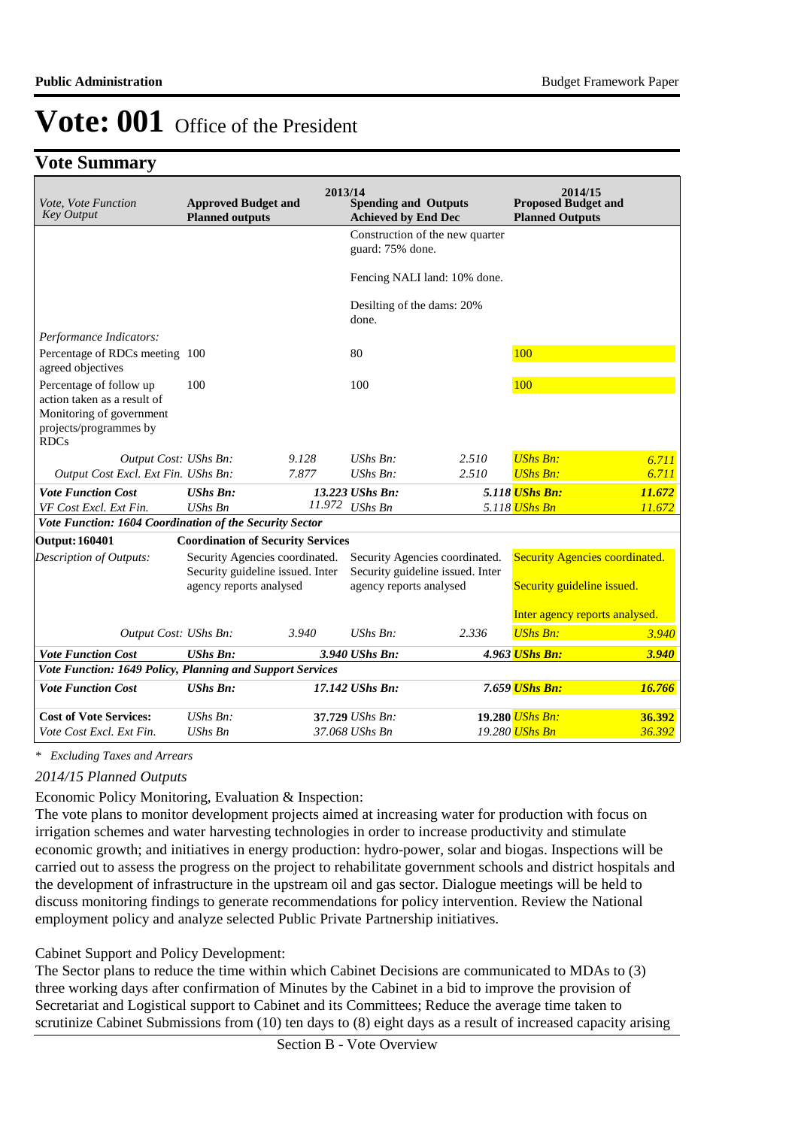## **Vote Summary**

| Vote, Vote Function<br><b>Key Output</b>                                                                                    | <b>Approved Budget and</b><br><b>Planned outputs</b>                                          | 2013/14 | <b>Spending and Outputs</b><br><b>Achieved by End Dec</b>                                     |       | 2014/15<br><b>Proposed Budget and</b><br><b>Planned Outputs</b>                                       |        |
|-----------------------------------------------------------------------------------------------------------------------------|-----------------------------------------------------------------------------------------------|---------|-----------------------------------------------------------------------------------------------|-------|-------------------------------------------------------------------------------------------------------|--------|
|                                                                                                                             |                                                                                               |         | Construction of the new quarter<br>guard: 75% done.                                           |       |                                                                                                       |        |
|                                                                                                                             |                                                                                               |         | Fencing NALI land: 10% done.                                                                  |       |                                                                                                       |        |
|                                                                                                                             |                                                                                               |         | Desilting of the dams: 20%<br>done.                                                           |       |                                                                                                       |        |
| Performance Indicators:                                                                                                     |                                                                                               |         |                                                                                               |       |                                                                                                       |        |
| Percentage of RDCs meeting 100<br>agreed objectives                                                                         |                                                                                               |         | 80                                                                                            |       | 100                                                                                                   |        |
| Percentage of follow up<br>action taken as a result of<br>Monitoring of government<br>projects/programmes by<br><b>RDCs</b> | 100                                                                                           |         | 100                                                                                           |       | 100                                                                                                   |        |
| Output Cost: UShs Bn:                                                                                                       |                                                                                               | 9.128   | $UShs Bn$ :                                                                                   | 2.510 | $UShs Bn:$                                                                                            | 6.711  |
| Output Cost Excl. Ext Fin. UShs Bn:                                                                                         |                                                                                               | 7.877   | $UShs Bn$ :                                                                                   | 2.510 | <b>UShs Bn:</b>                                                                                       | 6.711  |
| <b>Vote Function Cost</b>                                                                                                   | <b>UShs Bn:</b>                                                                               |         | 13.223 UShs Bn:                                                                               |       | 5.118 UShs Bn:                                                                                        | 11.672 |
| VF Cost Excl. Ext Fin.                                                                                                      | <b>UShs Bn</b>                                                                                | 11.972  | <b>UShs Bn</b>                                                                                |       | 5.118 UShs Bn                                                                                         | 11.672 |
| Vote Function: 1604 Coordination of the Security Sector                                                                     |                                                                                               |         |                                                                                               |       |                                                                                                       |        |
| <b>Output: 160401</b>                                                                                                       | <b>Coordination of Security Services</b>                                                      |         |                                                                                               |       |                                                                                                       |        |
| <b>Description of Outputs:</b>                                                                                              | Security Agencies coordinated.<br>Security guideline issued. Inter<br>agency reports analysed |         | Security Agencies coordinated.<br>Security guideline issued. Inter<br>agency reports analysed |       | <b>Security Agencies coordinated.</b><br>Security guideline issued.<br>Inter agency reports analysed. |        |
| Output Cost: UShs Bn:                                                                                                       |                                                                                               | 3.940   | $UShs Bn$ :                                                                                   | 2.336 | <b>UShs Bn:</b>                                                                                       | 3.940  |
| <b>Vote Function Cost</b>                                                                                                   | <b>UShs Bn:</b>                                                                               |         | 3.940 UShs Bn:                                                                                |       | 4.963 UShs Bn:                                                                                        | 3.940  |
| Vote Function: 1649 Policy, Planning and Support Services                                                                   |                                                                                               |         |                                                                                               |       |                                                                                                       |        |
| <b>Vote Function Cost</b>                                                                                                   | <b>UShs Bn:</b>                                                                               |         | 17.142 UShs Bn:                                                                               |       | 7.659 UShs Bn:                                                                                        | 16.766 |
| <b>Cost of Vote Services:</b>                                                                                               | $UShs Bn$ :                                                                                   |         | 37.729 UShs Bn:                                                                               |       | 19.280 UShs Bn:                                                                                       | 36.392 |
| Vote Cost Excl. Ext Fin.                                                                                                    | <b>UShs Bn</b>                                                                                |         | 37.068 UShs Bn                                                                                |       | 19.280 UShs Bn                                                                                        | 36.392 |

*\* Excluding Taxes and Arrears*

### *2014/15 Planned Outputs*

## Economic Policy Monitoring, Evaluation & Inspection:

The vote plans to monitor development projects aimed at increasing water for production with focus on irrigation schemes and water harvesting technologies in order to increase productivity and stimulate economic growth; and initiatives in energy production: hydro-power, solar and biogas. Inspections will be carried out to assess the progress on the project to rehabilitate government schools and district hospitals and the development of infrastructure in the upstream oil and gas sector. Dialogue meetings will be held to discuss monitoring findings to generate recommendations for policy intervention. Review the National employment policy and analyze selected Public Private Partnership initiatives.

Cabinet Support and Policy Development:

The Sector plans to reduce the time within which Cabinet Decisions are communicated to MDAs to (3) three working days after confirmation of Minutes by the Cabinet in a bid to improve the provision of Secretariat and Logistical support to Cabinet and its Committees; Reduce the average time taken to scrutinize Cabinet Submissions from (10) ten days to (8) eight days as a result of increased capacity arising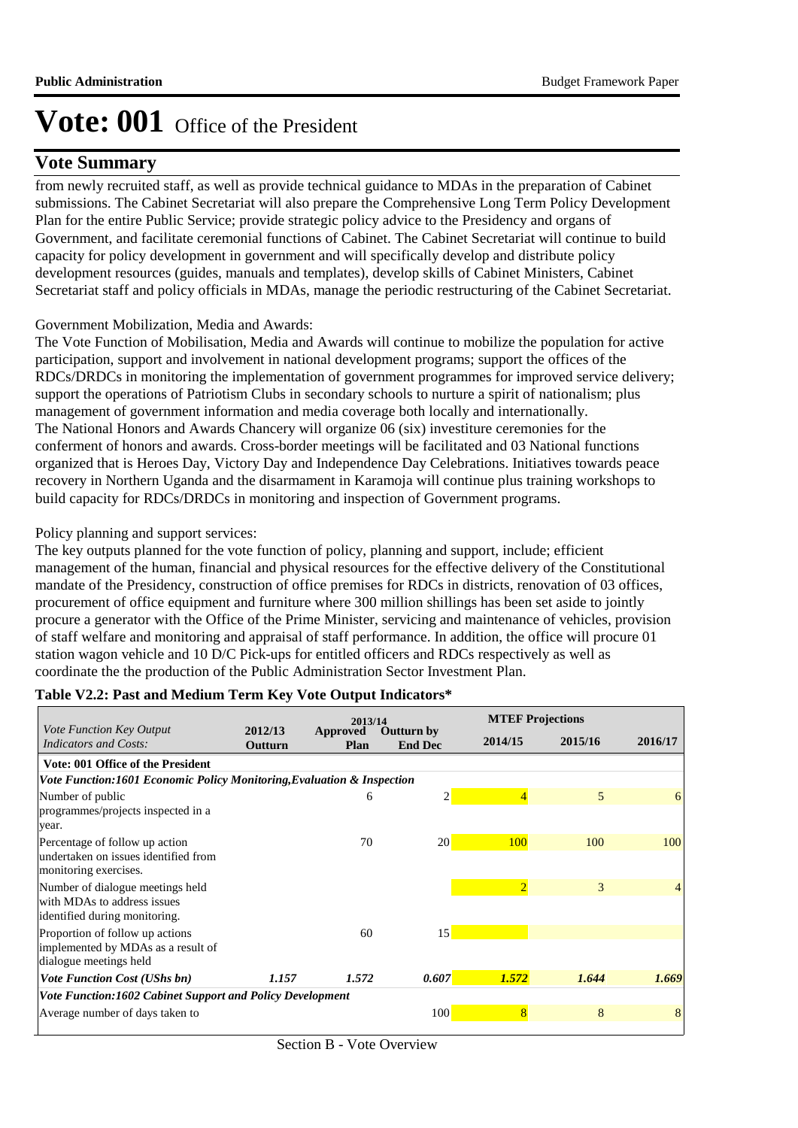## **Vote Summary**

from newly recruited staff, as well as provide technical guidance to MDAs in the preparation of Cabinet submissions. The Cabinet Secretariat will also prepare the Comprehensive Long Term Policy Development Plan for the entire Public Service; provide strategic policy advice to the Presidency and organs of Government, and facilitate ceremonial functions of Cabinet. The Cabinet Secretariat will continue to build capacity for policy development in government and will specifically develop and distribute policy development resources (guides, manuals and templates), develop skills of Cabinet Ministers, Cabinet Secretariat staff and policy officials in MDAs, manage the periodic restructuring of the Cabinet Secretariat.

### Government Mobilization, Media and Awards:

The Vote Function of Mobilisation, Media and Awards will continue to mobilize the population for active participation, support and involvement in national development programs; support the offices of the RDCs/DRDCs in monitoring the implementation of government programmes for improved service delivery; support the operations of Patriotism Clubs in secondary schools to nurture a spirit of nationalism; plus management of government information and media coverage both locally and internationally. The National Honors and Awards Chancery will organize 06 (six) investiture ceremonies for the conferment of honors and awards. Cross-border meetings will be facilitated and 03 National functions organized that is Heroes Day, Victory Day and Independence Day Celebrations. Initiatives towards peace recovery in Northern Uganda and the disarmament in Karamoja will continue plus training workshops to build capacity for RDCs/DRDCs in monitoring and inspection of Government programs.

### Policy planning and support services:

The key outputs planned for the vote function of policy, planning and support, include; efficient management of the human, financial and physical resources for the effective delivery of the Constitutional mandate of the Presidency, construction of office premises for RDCs in districts, renovation of 03 offices, procurement of office equipment and furniture where 300 million shillings has been set aside to jointly procure a generator with the Office of the Prime Minister, servicing and maintenance of vehicles, provision of staff welfare and monitoring and appraisal of staff performance. In addition, the office will procure 01 station wagon vehicle and 10 D/C Pick-ups for entitled officers and RDCs respectively as well as coordinate the the production of the Public Administration Sector Investment Plan.

|                                                                                                  |                    | 2013/14                 |                                     |                | <b>MTEF Projections</b> |         |
|--------------------------------------------------------------------------------------------------|--------------------|-------------------------|-------------------------------------|----------------|-------------------------|---------|
| <i>Vote Function Key Output</i><br><b>Indicators and Costs:</b>                                  | 2012/13<br>Outturn | Approved<br><b>Plan</b> | <b>Outturn by</b><br><b>End Dec</b> | 2014/15        | 2015/16                 | 2016/17 |
| Vote: 001 Office of the President                                                                |                    |                         |                                     |                |                         |         |
| Vote Function:1601 Economic Policy Monitoring, Evaluation & Inspection                           |                    |                         |                                     |                |                         |         |
| Number of public<br>programmes/projects inspected in a<br>year.                                  |                    | 6                       | 2                                   | 4              | 5                       | 6       |
| Percentage of follow up action<br>undertaken on issues identified from<br>monitoring exercises.  |                    | 70                      | 20 <sup>1</sup>                     | 100            | 100                     | 100     |
| Number of dialogue meetings held<br>with MDAs to address issues<br>identified during monitoring. |                    |                         |                                     | $\overline{2}$ | 3                       | 4       |
| Proportion of follow up actions<br>implemented by MDAs as a result of<br>dialogue meetings held  |                    | 60                      | 15                                  |                |                         |         |
| <b>Vote Function Cost (UShs bn)</b>                                                              | 1.157              | 1.572                   | 0.607                               | 1.572          | 1.644                   | 1.669   |
| Vote Function:1602 Cabinet Support and Policy Development                                        |                    |                         |                                     |                |                         |         |
| Average number of days taken to                                                                  |                    |                         | 100                                 | 8              | 8                       | 8       |

### **Table V2.2: Past and Medium Term Key Vote Output Indicators\***

Section B - Vote Overview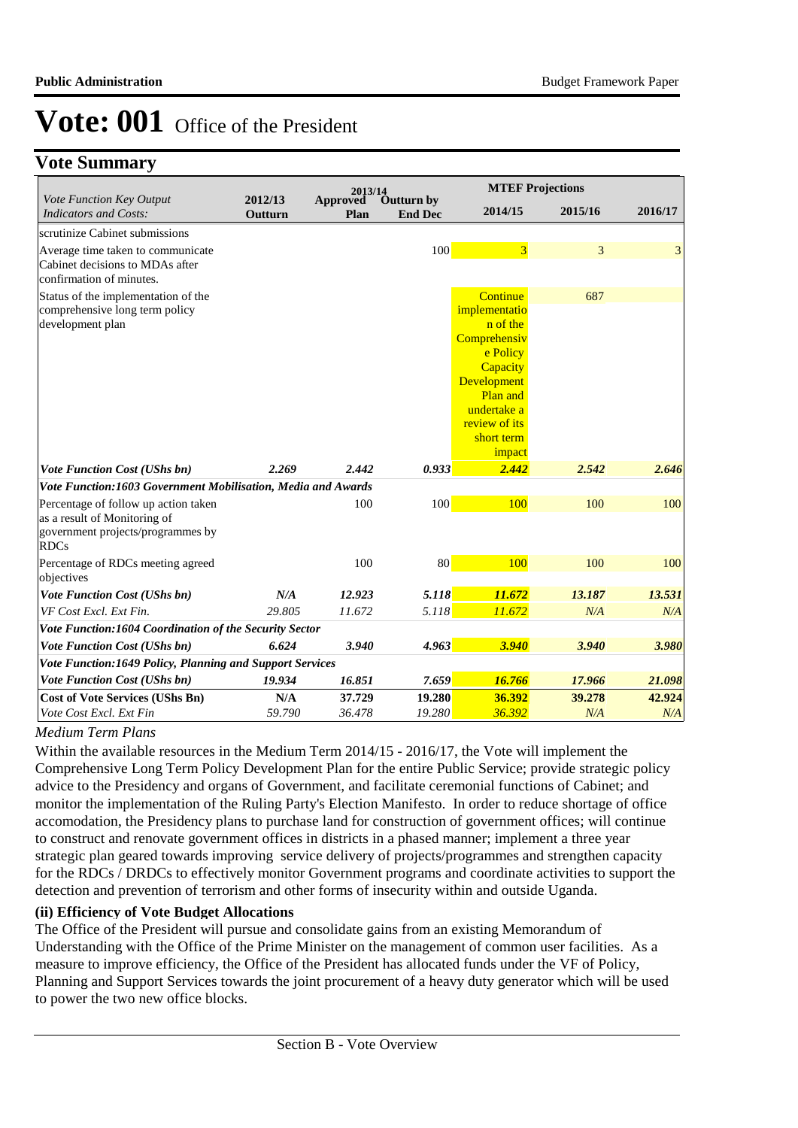## **Vote Summary**

|                                                              | 2012/13 | 2013/14                 |                              |                          | <b>MTEF Projections</b> |         |
|--------------------------------------------------------------|---------|-------------------------|------------------------------|--------------------------|-------------------------|---------|
| Vote Function Key Output<br><b>Indicators and Costs:</b>     | Outturn | <b>Approved</b><br>Plan | Outturn by<br><b>End Dec</b> | 2014/15                  | 2015/16                 | 2016/17 |
| scrutinize Cabinet submissions                               |         |                         |                              |                          |                         |         |
| Average time taken to communicate                            |         |                         | 100                          | $\overline{3}$           | 3                       | 3       |
| Cabinet decisions to MDAs after<br>confirmation of minutes.  |         |                         |                              |                          |                         |         |
| Status of the implementation of the                          |         |                         |                              | Continue                 | 687                     |         |
| comprehensive long term policy                               |         |                         |                              | implementatio            |                         |         |
| development plan                                             |         |                         |                              | n of the<br>Comprehensiv |                         |         |
|                                                              |         |                         |                              | e Policy                 |                         |         |
|                                                              |         |                         |                              | Capacity                 |                         |         |
|                                                              |         |                         |                              | Development              |                         |         |
|                                                              |         |                         |                              | <b>Plan and</b>          |                         |         |
|                                                              |         |                         |                              | undertake a              |                         |         |
|                                                              |         |                         |                              | review of its            |                         |         |
|                                                              |         |                         |                              | short term<br>impact     |                         |         |
| <b>Vote Function Cost (UShs bn)</b>                          | 2.269   | 2.442                   | 0.933                        | 2.442                    | 2.542                   | 2.646   |
| Vote Function:1603 Government Mobilisation, Media and Awards |         |                         |                              |                          |                         |         |
| Percentage of follow up action taken                         |         | 100                     | 100                          | 100                      | 100                     | 100     |
| as a result of Monitoring of                                 |         |                         |                              |                          |                         |         |
| government projects/programmes by<br><b>RDCs</b>             |         |                         |                              |                          |                         |         |
| Percentage of RDCs meeting agreed<br>objectives              |         | 100                     | 80                           | 100                      | 100                     | 100     |
| <b>Vote Function Cost (UShs bn)</b>                          | N/A     | 12.923                  | 5.118                        | 11.672                   | 13.187                  | 13.531  |
| VF Cost Excl. Ext Fin.                                       | 29.805  | 11.672                  | 5.118                        | 11.672                   | N/A                     | N/A     |
| Vote Function:1604 Coordination of the Security Sector       |         |                         |                              |                          |                         |         |
| Vote Function Cost (UShs bn)                                 | 6.624   | 3.940                   | 4.963                        | 3.940                    | 3.940                   | 3.980   |
| Vote Function:1649 Policy, Planning and Support Services     |         |                         |                              |                          |                         |         |
| <b>Vote Function Cost (UShs bn)</b>                          | 19.934  | 16.851                  | 7.659                        | 16.766                   | 17.966                  | 21.098  |
| <b>Cost of Vote Services (UShs Bn)</b>                       | N/A     | 37.729                  | 19.280                       | 36.392                   | 39.278                  | 42.924  |
| Vote Cost Excl. Ext Fin                                      | 59.790  | 36.478                  | 19.280                       | 36.392                   | N/A                     | N/A     |

### *Medium Term Plans*

Within the available resources in the Medium Term 2014/15 - 2016/17, the Vote will implement the Comprehensive Long Term Policy Development Plan for the entire Public Service; provide strategic policy advice to the Presidency and organs of Government, and facilitate ceremonial functions of Cabinet; and monitor the implementation of the Ruling Party's Election Manifesto. In order to reduce shortage of office accomodation, the Presidency plans to purchase land for construction of government offices; will continue to construct and renovate government offices in districts in a phased manner; implement a three year strategic plan geared towards improving service delivery of projects/programmes and strengthen capacity for the RDCs / DRDCs to effectively monitor Government programs and coordinate activities to support the detection and prevention of terrorism and other forms of insecurity within and outside Uganda.

### **(ii) Efficiency of Vote Budget Allocations**

The Office of the President will pursue and consolidate gains from an existing Memorandum of Understanding with the Office of the Prime Minister on the management of common user facilities. As a measure to improve efficiency, the Office of the President has allocated funds under the VF of Policy, Planning and Support Services towards the joint procurement of a heavy duty generator which will be used to power the two new office blocks.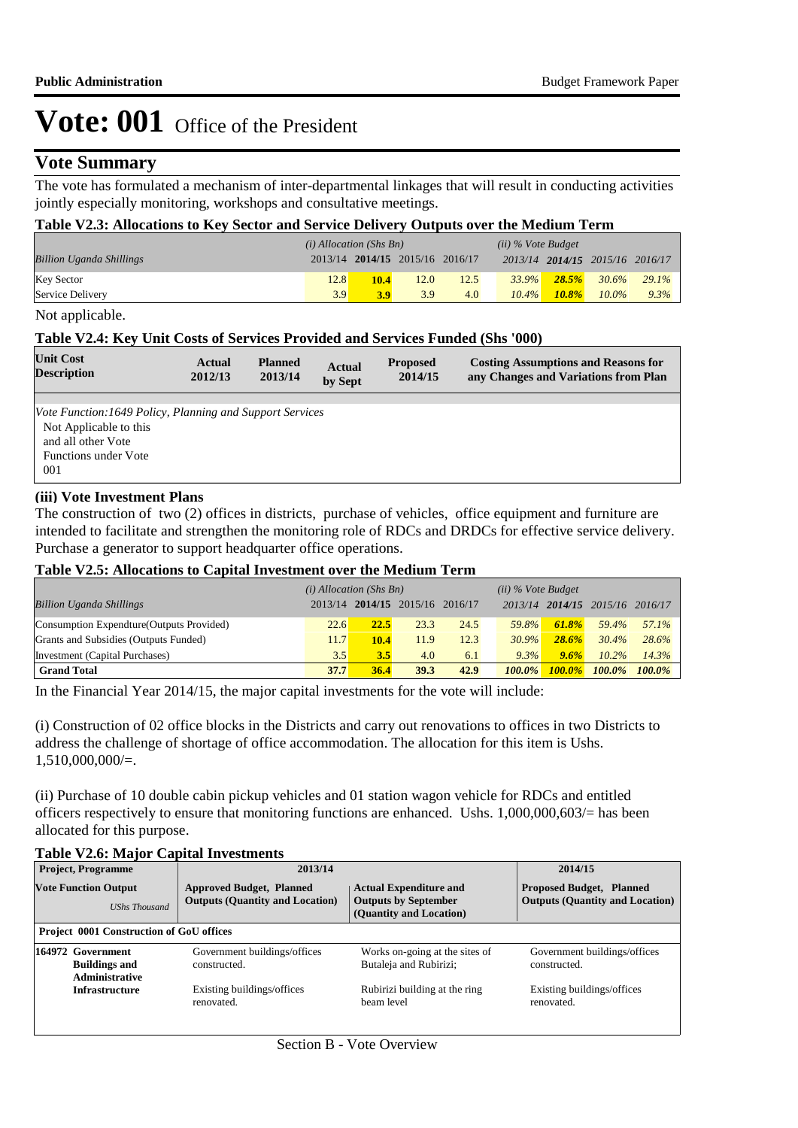## **Vote Summary**

The vote has formulated a mechanism of inter-departmental linkages that will result in conducting activities jointly especially monitoring, workshops and consultative meetings.

#### **Table V2.3: Allocations to Key Sector and Service Delivery Outputs over the Medium Term**

|                                 | $(i)$ Allocation (Shs Bn) |                                 |      |      | $(ii)$ % Vote Budget |          |                                 |          |
|---------------------------------|---------------------------|---------------------------------|------|------|----------------------|----------|---------------------------------|----------|
| <b>Billion Uganda Shillings</b> |                           | 2013/14 2014/15 2015/16 2016/17 |      |      |                      |          | 2013/14 2014/15 2015/16 2016/17 |          |
| <b>Key Sector</b>               | 12.8                      | 10.4                            | 12.0 | 12.5 | $33.9\%$             | 28.5%    | 30.6%                           | $29.1\%$ |
| Service Delivery                | 3.9                       | 3.9                             | 3.9  | 4.0  | $10.4\%$             | $10.8\%$ | $10.0\%$                        | $9.3\%$  |

Not applicable.

#### **Table V2.4: Key Unit Costs of Services Provided and Services Funded (Shs '000)**

| <b>Unit Cost</b><br><b>Description</b>                    | Actual<br>2012/13 | <b>Planned</b><br>2013/14 | <b>Actual</b><br>by Sept | <b>Proposed</b><br>2014/15 | <b>Costing Assumptions and Reasons for</b><br>any Changes and Variations from Plan |
|-----------------------------------------------------------|-------------------|---------------------------|--------------------------|----------------------------|------------------------------------------------------------------------------------|
|                                                           |                   |                           |                          |                            |                                                                                    |
| Vote Function: 1649 Policy, Planning and Support Services |                   |                           |                          |                            |                                                                                    |
| Not Applicable to this                                    |                   |                           |                          |                            |                                                                                    |
| and all other Vote                                        |                   |                           |                          |                            |                                                                                    |
| Functions under Vote                                      |                   |                           |                          |                            |                                                                                    |
| 001                                                       |                   |                           |                          |                            |                                                                                    |

#### **(iii) Vote Investment Plans**

The construction of two (2) offices in districts, purchase of vehicles, office equipment and furniture are intended to facilitate and strengthen the monitoring role of RDCs and DRDCs for effective service delivery. Purchase a generator to support headquarter office operations.

#### **Table V2.5: Allocations to Capital Investment over the Medium Term**

|                                           | $(i)$ Allocation (Shs Bn) |      |                               |      | $(ii)$ % Vote Budget |           |           |           |
|-------------------------------------------|---------------------------|------|-------------------------------|------|----------------------|-----------|-----------|-----------|
| <b>Billion Uganda Shillings</b>           | 2013/14                   |      | $2014/15$ $2015/16$ $2016/17$ |      | 2013/14              | 2014/15   | 2015/16   | 2016/17   |
| Consumption Expendture (Outputs Provided) | 22.6                      | 22.5 | 23.3                          | 24.5 | 59.8%                | 61.8%     | 59.4%     | 57.1%     |
| Grants and Subsidies (Outputs Funded)     | 11.7                      | 10.4 | 11.9                          | 12.3 | 30.9%                | 28.6%     | 30.4%     | 28.6%     |
| Investment (Capital Purchases)            | 3.5                       | 3.5  | 4.0                           | 6.1  | 9.3%                 | 9.6%      | $10.2\%$  | 14.3%     |
| <b>Grand Total</b>                        | 37.7                      | 36.4 | 39.3                          | 42.9 | $100.0\%$            | $100.0\%$ | $100.0\%$ | $100.0\%$ |

In the Financial Year 2014/15, the major capital investments for the vote will include:

(i) Construction of 02 office blocks in the Districts and carry out renovations to offices in two Districts to address the challenge of shortage of office accommodation. The allocation for this item is Ushs.  $1,510,000,000/=$ .

(ii) Purchase of 10 double cabin pickup vehicles and 01 station wagon vehicle for RDCs and entitled officers respectively to ensure that monitoring functions are enhanced. Ushs. 1,000,000,603/= has been allocated for this purpose.

#### **Table V2.6: Major Capital Investments**

| <b>Project, Programme</b>                                          | 2013/14                                                                   | 2014/15                                                                                                                    |                                              |
|--------------------------------------------------------------------|---------------------------------------------------------------------------|----------------------------------------------------------------------------------------------------------------------------|----------------------------------------------|
| <b>Vote Function Output</b><br><b>UShs Thousand</b>                | <b>Approved Budget, Planned</b><br><b>Outputs (Quantity and Location)</b> | <b>Proposed Budget, Planned</b><br><b>Actual Expenditure and</b><br><b>Outputs by September</b><br>(Quantity and Location) |                                              |
| <b>Project 0001 Construction of GoU offices</b>                    |                                                                           |                                                                                                                            |                                              |
| 164972 Government<br><b>Buildings and</b><br><b>Administrative</b> | Government buildings/offices<br>constructed.                              | Works on-going at the sites of<br>Butaleja and Rubirizi;                                                                   | Government buildings/offices<br>constructed. |
| <b>Infrastructure</b>                                              | Existing buildings/offices<br>renovated.                                  | Rubirizi building at the ring<br>beam level                                                                                | Existing buildings/offices<br>renovated.     |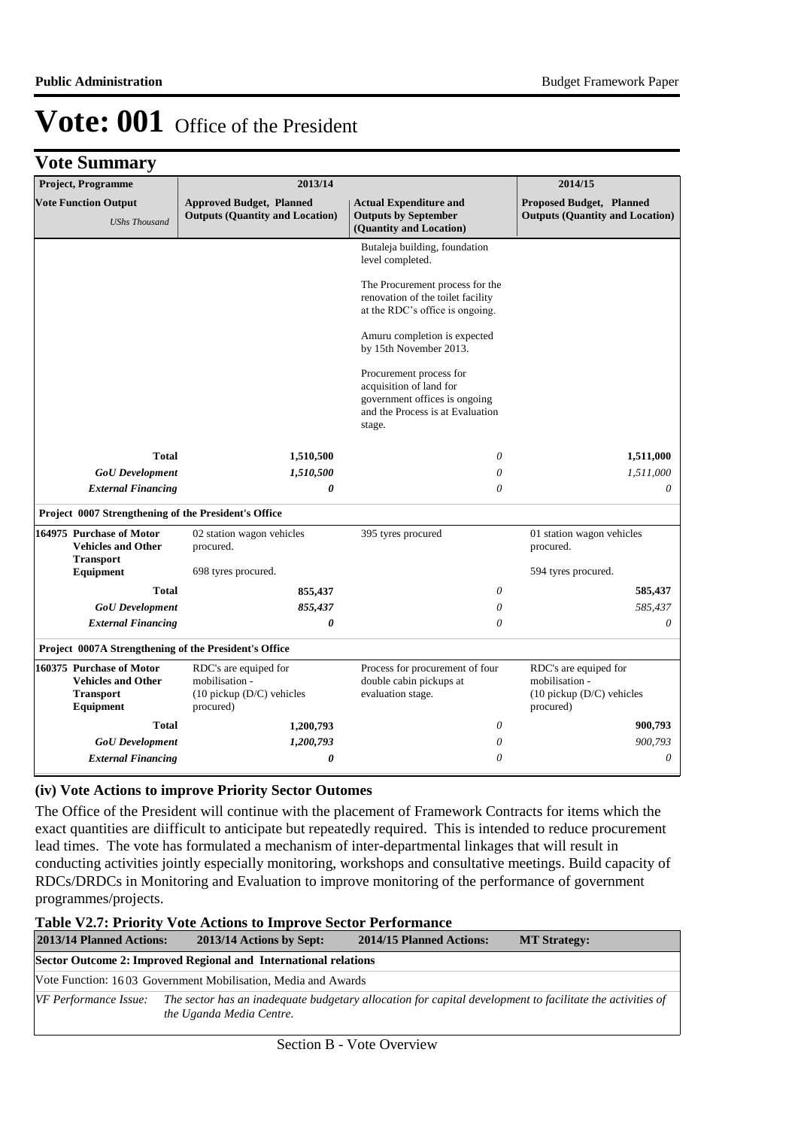**Vote Summary**

| Project, Programme                                                                     | 2013/14                                                                               |                                                                                                                                   | 2014/15                                                                               |  |
|----------------------------------------------------------------------------------------|---------------------------------------------------------------------------------------|-----------------------------------------------------------------------------------------------------------------------------------|---------------------------------------------------------------------------------------|--|
| <b>Vote Function Output</b><br><b>UShs Thousand</b>                                    | <b>Approved Budget, Planned</b><br><b>Outputs (Quantity and Location)</b>             | <b>Actual Expenditure and</b><br><b>Outputs by September</b><br>(Quantity and Location)                                           | <b>Proposed Budget, Planned</b><br><b>Outputs (Quantity and Location)</b>             |  |
|                                                                                        |                                                                                       | Butaleja building, foundation<br>level completed.                                                                                 |                                                                                       |  |
|                                                                                        |                                                                                       | The Procurement process for the<br>renovation of the toilet facility<br>at the RDC's office is ongoing.                           |                                                                                       |  |
|                                                                                        |                                                                                       | Amuru completion is expected<br>by 15th November 2013.                                                                            |                                                                                       |  |
|                                                                                        |                                                                                       | Procurement process for<br>acquisition of land for<br>government offices is ongoing<br>and the Process is at Evaluation<br>stage. |                                                                                       |  |
| <b>Total</b>                                                                           | 1,510,500                                                                             | 0                                                                                                                                 | 1,511,000                                                                             |  |
| <b>GoU</b> Development                                                                 | 1,510,500                                                                             | 0                                                                                                                                 | 1,511,000                                                                             |  |
| <b>External Financing</b>                                                              | 0                                                                                     | 0                                                                                                                                 | 0                                                                                     |  |
| Project 0007 Strengthening of the President's Office                                   |                                                                                       |                                                                                                                                   |                                                                                       |  |
| 164975 Purchase of Motor<br><b>Vehicles and Other</b><br><b>Transport</b>              | 02 station wagon vehicles<br>procured.                                                | 395 tyres procured                                                                                                                | 01 station wagon vehicles<br>procured.                                                |  |
| Equipment                                                                              | 698 tyres procured.                                                                   |                                                                                                                                   | 594 tyres procured.                                                                   |  |
| <b>Total</b>                                                                           | 855,437                                                                               | 0                                                                                                                                 | 585,437                                                                               |  |
| <b>GoU</b> Development                                                                 | 855,437                                                                               | 0                                                                                                                                 | 585,437                                                                               |  |
| <b>External Financing</b>                                                              | 0                                                                                     | 0                                                                                                                                 | 0                                                                                     |  |
| Project 0007A Strengthening of the President's Office                                  |                                                                                       |                                                                                                                                   |                                                                                       |  |
| 160375 Purchase of Motor<br><b>Vehicles and Other</b><br><b>Transport</b><br>Equipment | RDC's are equiped for<br>mobilisation -<br>$(10$ pickup $(D/C)$ vehicles<br>procured) | Process for procurement of four<br>double cabin pickups at<br>evaluation stage.                                                   | RDC's are equiped for<br>mobilisation -<br>$(10$ pickup $(D/C)$ vehicles<br>procured) |  |
| <b>Total</b>                                                                           | 1,200,793                                                                             | 0                                                                                                                                 | 900,793                                                                               |  |
| <b>GoU</b> Development                                                                 | 1,200,793                                                                             | 0                                                                                                                                 | 900,793                                                                               |  |
| <b>External Financing</b>                                                              | 0                                                                                     | 0                                                                                                                                 | $\theta$                                                                              |  |

### **(iv) Vote Actions to improve Priority Sector Outomes**

The Office of the President will continue with the placement of Framework Contracts for items which the exact quantities are diifficult to anticipate but repeatedly required. This is intended to reduce procurement lead times. The vote has formulated a mechanism of inter-departmental linkages that will result in conducting activities jointly especially monitoring, workshops and consultative meetings. Build capacity of RDCs/DRDCs in Monitoring and Evaluation to improve monitoring of the performance of government programmes/projects.

#### **Table V2.7: Priority Vote Actions to Improve Sector Performance**

| 2013/14 Planned Actions: | 2013/14 Actions by Sept:                                                                                                              | 2014/15 Planned Actions: | <b>MT Strategy:</b> |
|--------------------------|---------------------------------------------------------------------------------------------------------------------------------------|--------------------------|---------------------|
|                          | Sector Outcome 2: Improved Regional and International relations                                                                       |                          |                     |
|                          | Vote Function: 1603 Government Mobilisation, Media and Awards                                                                         |                          |                     |
| VF Performance Issue:    | The sector has an inadequate budgetary allocation for capital development to facilitate the activities of<br>the Uganda Media Centre. |                          |                     |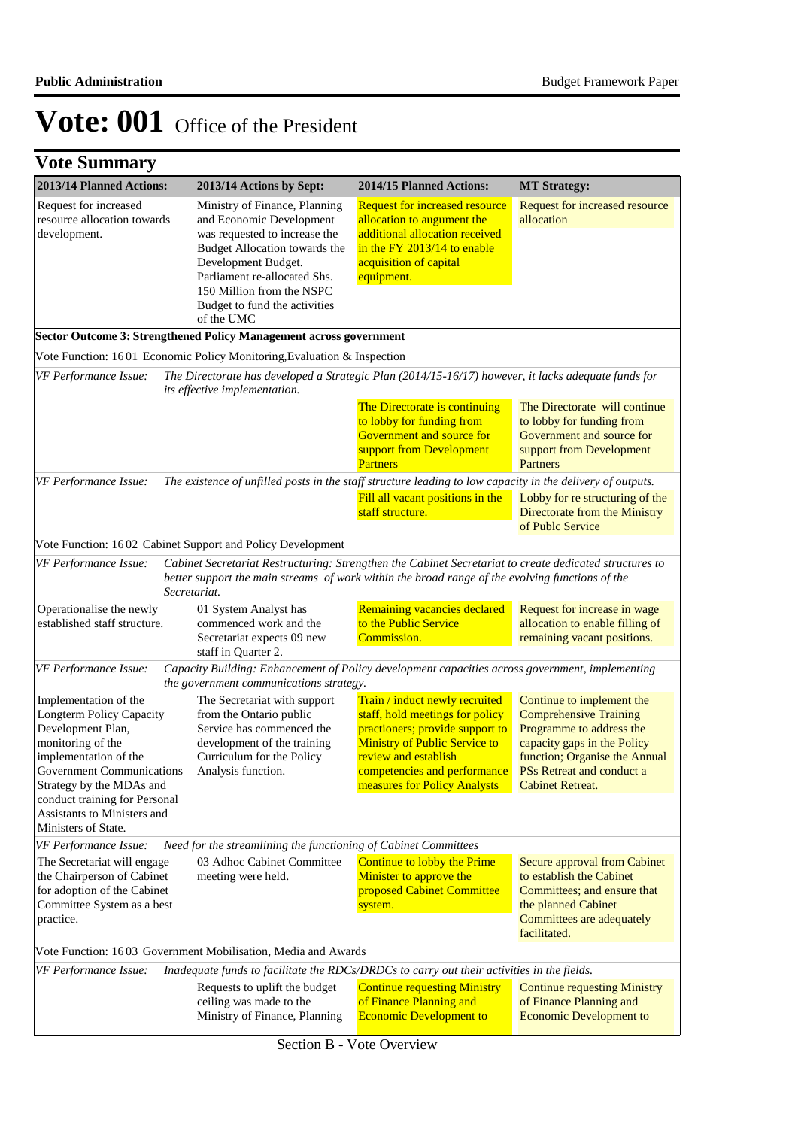| 2013/14 Planned Actions:                                                                                                                                                      | 2013/14 Actions by Sept:                                                                                                                                                                                                                                                                                                             | 2014/15 Planned Actions:                                                                                                                                                                                                             | <b>MT Strategy:</b>                                                                                                                                                                                            |
|-------------------------------------------------------------------------------------------------------------------------------------------------------------------------------|--------------------------------------------------------------------------------------------------------------------------------------------------------------------------------------------------------------------------------------------------------------------------------------------------------------------------------------|--------------------------------------------------------------------------------------------------------------------------------------------------------------------------------------------------------------------------------------|----------------------------------------------------------------------------------------------------------------------------------------------------------------------------------------------------------------|
| Request for increased<br>resource allocation towards<br>development.                                                                                                          | Ministry of Finance, Planning<br>and Economic Development<br>was requested to increase the<br>Budget Allocation towards the<br>Development Budget.<br>Parliament re-allocated Shs.<br>150 Million from the NSPC<br>Budget to fund the activities<br>of the UMC<br>Sector Outcome 3: Strengthened Policy Management across government | <b>Request for increased resource</b><br>allocation to augument the<br>additional allocation received<br>in the FY 2013/14 to enable<br>acquisition of capital<br>equipment.                                                         | Request for increased resource<br>allocation                                                                                                                                                                   |
|                                                                                                                                                                               | Vote Function: 1601 Economic Policy Monitoring, Evaluation & Inspection                                                                                                                                                                                                                                                              |                                                                                                                                                                                                                                      |                                                                                                                                                                                                                |
| VF Performance Issue:                                                                                                                                                         | its effective implementation.                                                                                                                                                                                                                                                                                                        | The Directorate has developed a Strategic Plan (2014/15-16/17) however, it lacks adequate funds for                                                                                                                                  |                                                                                                                                                                                                                |
|                                                                                                                                                                               |                                                                                                                                                                                                                                                                                                                                      | The Directorate is continuing<br>to lobby for funding from<br>Government and source for<br>support from Development<br><b>Partners</b>                                                                                               | The Directorate will continue<br>to lobby for funding from<br>Government and source for<br>support from Development<br>Partners                                                                                |
| VF Performance Issue:                                                                                                                                                         |                                                                                                                                                                                                                                                                                                                                      | The existence of unfilled posts in the staff structure leading to low capacity in the delivery of outputs.                                                                                                                           |                                                                                                                                                                                                                |
|                                                                                                                                                                               |                                                                                                                                                                                                                                                                                                                                      | Fill all vacant positions in the<br>staff structure.                                                                                                                                                                                 | Lobby for re structuring of the<br>Directorate from the Ministry<br>of Publc Service                                                                                                                           |
|                                                                                                                                                                               | Vote Function: 1602 Cabinet Support and Policy Development                                                                                                                                                                                                                                                                           |                                                                                                                                                                                                                                      |                                                                                                                                                                                                                |
| VF Performance Issue:                                                                                                                                                         | Secretariat.                                                                                                                                                                                                                                                                                                                         | Cabinet Secretariat Restructuring: Strengthen the Cabinet Secretariat to create dedicated structures to<br>better support the main streams of work within the broad range of the evolving functions of the                           |                                                                                                                                                                                                                |
| Operationalise the newly<br>established staff structure.                                                                                                                      | 01 System Analyst has<br>commenced work and the<br>Secretariat expects 09 new<br>staff in Quarter 2.                                                                                                                                                                                                                                 | Remaining vacancies declared<br>to the Public Service<br>Commission.                                                                                                                                                                 | Request for increase in wage<br>allocation to enable filling of<br>remaining vacant positions.                                                                                                                 |
| VF Performance Issue:                                                                                                                                                         | the government communications strategy.                                                                                                                                                                                                                                                                                              | Capacity Building: Enhancement of Policy development capacities across government, implementing                                                                                                                                      |                                                                                                                                                                                                                |
| Implementation of the<br>Longterm Policy Capacity<br>Development Plan,<br>monitoring of the<br>implementation of the<br>Government Communications<br>Strategy by the MDAs and | The Secretariat with support<br>from the Ontario public<br>Service has commenced the<br>development of the training<br>Curriculum for the Policy<br>Analysis function.                                                                                                                                                               | Train / induct newly recruited<br>staff, hold meetings for policy<br>practioners; provide support to<br><b>Ministry of Public Service to</b><br>review and establish<br>competencies and performance<br>measures for Policy Analysts | Continue to implement the<br><b>Comprehensive Training</b><br>Programme to address the<br>capacity gaps in the Policy<br>function; Organise the Annual<br>PSs Retreat and conduct a<br><b>Cabinet Retreat.</b> |
| conduct training for Personal<br>Assistants to Ministers and<br>Ministers of State.                                                                                           |                                                                                                                                                                                                                                                                                                                                      |                                                                                                                                                                                                                                      |                                                                                                                                                                                                                |
| VF Performance Issue:                                                                                                                                                         | Need for the streamlining the functioning of Cabinet Committees                                                                                                                                                                                                                                                                      |                                                                                                                                                                                                                                      |                                                                                                                                                                                                                |
| The Secretariat will engage<br>the Chairperson of Cabinet<br>for adoption of the Cabinet<br>Committee System as a best<br>practice.                                           | 03 Adhoc Cabinet Committee<br>meeting were held.                                                                                                                                                                                                                                                                                     | Continue to lobby the Prime<br>Minister to approve the<br>proposed Cabinet Committee<br>system.                                                                                                                                      | Secure approval from Cabinet<br>to establish the Cabinet<br>Committees; and ensure that<br>the planned Cabinet<br>Committees are adequately<br>facilitated.                                                    |
|                                                                                                                                                                               | Vote Function: 1603 Government Mobilisation, Media and Awards                                                                                                                                                                                                                                                                        |                                                                                                                                                                                                                                      |                                                                                                                                                                                                                |
| VF Performance Issue:                                                                                                                                                         |                                                                                                                                                                                                                                                                                                                                      | Inadequate funds to facilitate the RDCs/DRDCs to carry out their activities in the fields.                                                                                                                                           |                                                                                                                                                                                                                |
|                                                                                                                                                                               | Requests to uplift the budget<br>ceiling was made to the<br>Ministry of Finance, Planning                                                                                                                                                                                                                                            | <b>Continue requesting Ministry</b><br>of Finance Planning and<br><b>Economic Development to</b>                                                                                                                                     | <b>Continue requesting Ministry</b><br>of Finance Planning and<br><b>Economic Development to</b>                                                                                                               |

Section B - Vote Overview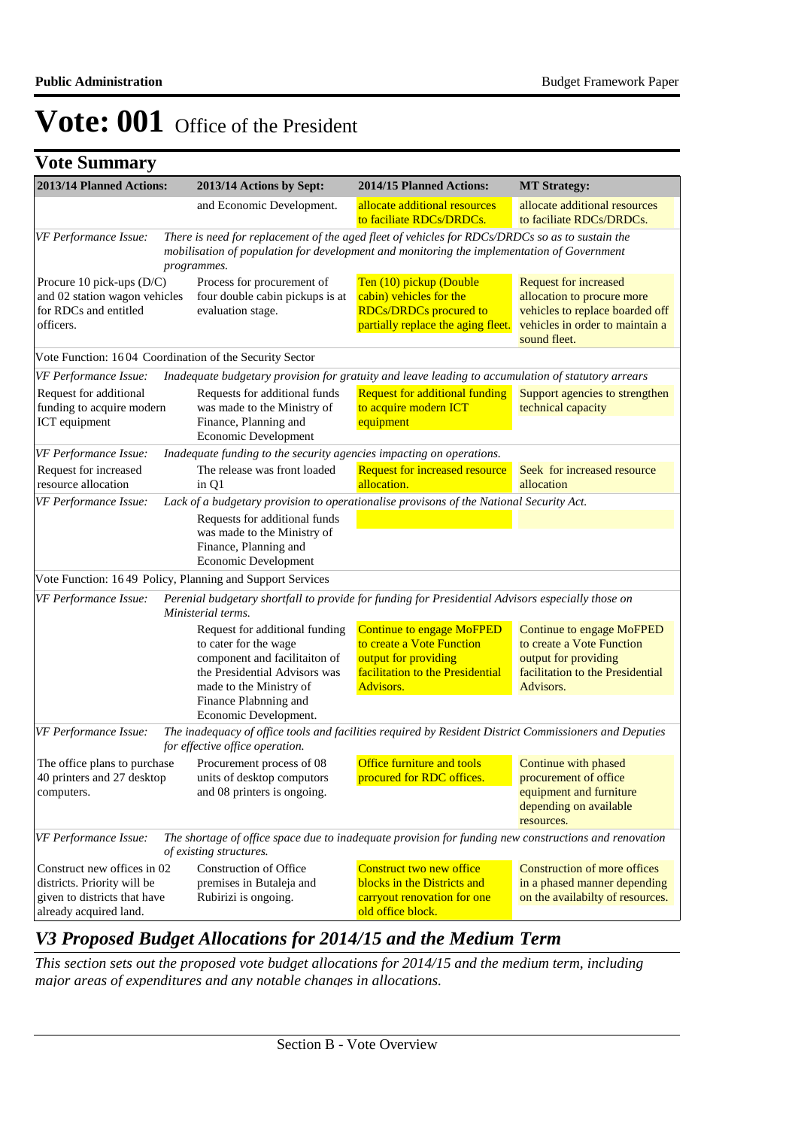**Vote Summary**

| 2013/14 Planned Actions:                                                                                             | 2013/14 Actions by Sept:                                                                                                                                                                                            | 2014/15 Planned Actions:                                                                                                               | <b>MT Strategy:</b>                                                                                                                              |  |
|----------------------------------------------------------------------------------------------------------------------|---------------------------------------------------------------------------------------------------------------------------------------------------------------------------------------------------------------------|----------------------------------------------------------------------------------------------------------------------------------------|--------------------------------------------------------------------------------------------------------------------------------------------------|--|
|                                                                                                                      | and Economic Development.                                                                                                                                                                                           | allocate additional resources<br>to faciliate RDCs/DRDCs.                                                                              | allocate additional resources<br>to faciliate RDCs/DRDCs.                                                                                        |  |
| VF Performance Issue:                                                                                                | There is need for replacement of the aged fleet of vehicles for RDCs/DRDCs so as to sustain the<br>mobilisation of population for development and monitoring the implementation of Government<br>programmes.        |                                                                                                                                        |                                                                                                                                                  |  |
| Procure 10 pick-ups $(D/C)$<br>and 02 station wagon vehicles<br>for RDCs and entitled<br>officers.                   | Process for procurement of<br>four double cabin pickups is at<br>evaluation stage.                                                                                                                                  | Ten (10) pickup (Double<br>cabin) vehicles for the<br><b>RDCs/DRDCs procured to</b><br>partially replace the aging fleet.              | <b>Request for increased</b><br>allocation to procure more<br>vehicles to replace boarded off<br>vehicles in order to maintain a<br>sound fleet. |  |
| Vote Function: 1604 Coordination of the Security Sector                                                              |                                                                                                                                                                                                                     |                                                                                                                                        |                                                                                                                                                  |  |
| VF Performance Issue:<br>Request for additional<br>funding to acquire modern<br>ICT equipment                        | Inadequate budgetary provision for gratuity and leave leading to accumulation of statutory arrears<br>Requests for additional funds<br>was made to the Ministry of<br>Finance, Planning and<br>Economic Development | <b>Request for additional funding</b><br>to acquire modern ICT<br>equipment                                                            | Support agencies to strengthen<br>technical capacity                                                                                             |  |
| VF Performance Issue:                                                                                                | Inadequate funding to the security agencies impacting on operations.                                                                                                                                                |                                                                                                                                        |                                                                                                                                                  |  |
| Request for increased<br>resource allocation                                                                         | The release was front loaded<br>in Q1                                                                                                                                                                               | <b>Request for increased resource</b><br>allocation.                                                                                   | Seek for increased resource<br>allocation                                                                                                        |  |
| VF Performance Issue:                                                                                                | Lack of a budgetary provision to operationalise provisons of the National Security Act.<br>Requests for additional funds<br>was made to the Ministry of<br>Finance, Planning and<br>Economic Development            |                                                                                                                                        |                                                                                                                                                  |  |
| Vote Function: 1649 Policy, Planning and Support Services                                                            |                                                                                                                                                                                                                     |                                                                                                                                        |                                                                                                                                                  |  |
| VF Performance Issue:                                                                                                | Perenial budgetary shortfall to provide for funding for Presidential Advisors especially those on<br>Ministerial terms.                                                                                             |                                                                                                                                        |                                                                                                                                                  |  |
|                                                                                                                      | Request for additional funding<br>to cater for the wage<br>component and facilitaiton of<br>the Presidential Advisors was<br>made to the Ministry of<br>Finance Plabnning and<br>Economic Development.              | <b>Continue to engage MoFPED</b><br>to create a Vote Function<br>output for providing<br>facilitation to the Presidential<br>Advisors. | <b>Continue to engage MoFPED</b><br>to create a Vote Function<br>output for providing<br>facilitation to the Presidential<br>Advisors.           |  |
| VF Performance Issue:                                                                                                | The inadequacy of office tools and facilities required by Resident District Commissioners and Deputies<br>for effective office operation.                                                                           |                                                                                                                                        |                                                                                                                                                  |  |
| The office plans to purchase<br>40 printers and 27 desktop<br>computers.                                             | Procurement process of 08<br>units of desktop computors<br>and 08 printers is ongoing.                                                                                                                              | <b>Office furniture and tools</b><br>procured for RDC offices.                                                                         | Continue with phased<br>procurement of office<br>equipment and furniture<br>depending on available<br>resources.                                 |  |
| VF Performance Issue:                                                                                                | The shortage of office space due to inadequate provision for funding new constructions and renovation<br>of existing structures.                                                                                    |                                                                                                                                        |                                                                                                                                                  |  |
| Construct new offices in 02<br>districts. Priority will be<br>given to districts that have<br>already acquired land. | Construction of Office<br>premises in Butaleja and<br>Rubirizi is ongoing.                                                                                                                                          | Construct two new office<br>blocks in the Districts and<br>carryout renovation for one<br>old office block.                            | <b>Construction of more offices</b><br>in a phased manner depending<br>on the availabilty of resources.                                          |  |

## *V3 Proposed Budget Allocations for 2014/15 and the Medium Term*

*This section sets out the proposed vote budget allocations for 2014/15 and the medium term, including major areas of expenditures and any notable changes in allocations.*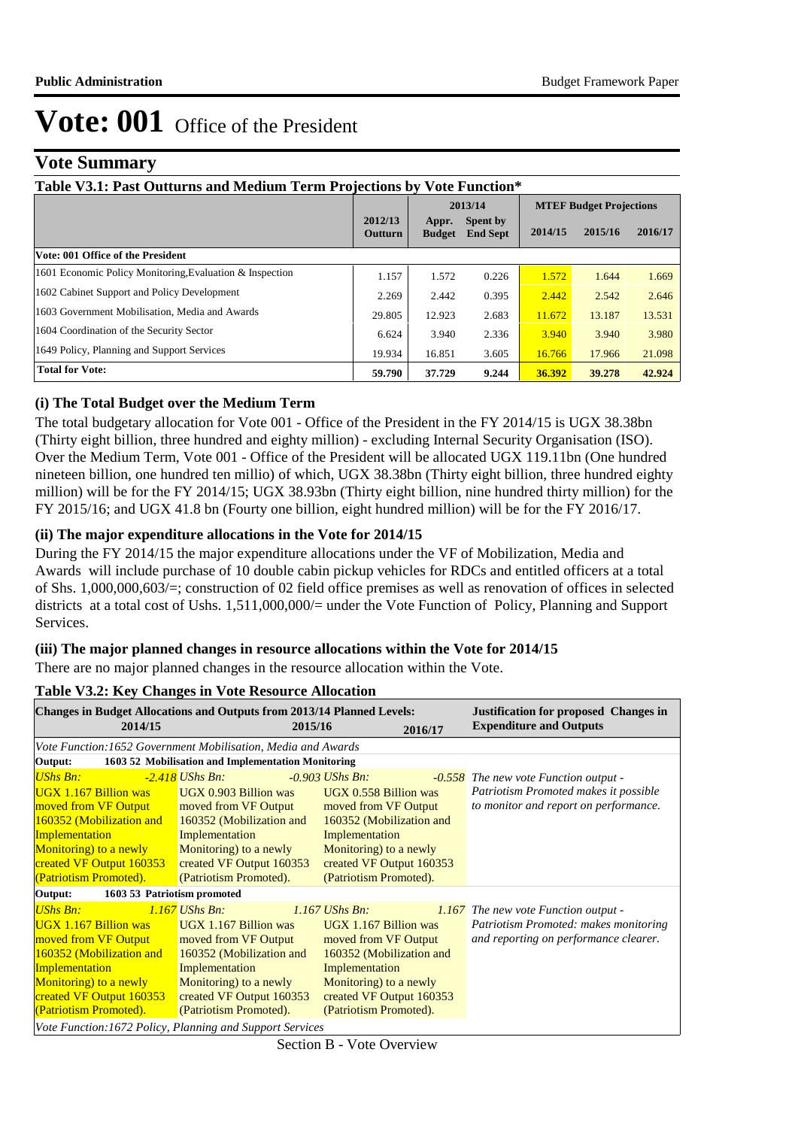**2** 

# **Vote: 001** Office of the President

## **Vote Summary**

| Table V3.1: Past Outturns and Medium Term Projections by Vote Function* |                    |                        |                             |                                |         |         |  |  |
|-------------------------------------------------------------------------|--------------------|------------------------|-----------------------------|--------------------------------|---------|---------|--|--|
|                                                                         |                    |                        | 2013/14                     | <b>MTEF Budget Projections</b> |         |         |  |  |
|                                                                         | 2012/13<br>Outturn | Appr.<br><b>Budget</b> | Spent by<br><b>End Sept</b> | 2014/15                        | 2015/16 | 2016/17 |  |  |
| Vote: 001 Office of the President                                       |                    |                        |                             |                                |         |         |  |  |
| 1601 Economic Policy Monitoring, Evaluation & Inspection                | 1.157              | 1.572                  | 0.226                       | 1.572                          | 1.644   | 1.669   |  |  |
| 1602 Cabinet Support and Policy Development                             | 2.269              | 2.442                  | 0.395                       | 2.442                          | 2.542   | 2.646   |  |  |
| 1603 Government Mobilisation, Media and Awards                          | 29.805             | 12.923                 | 2.683                       | 11.672                         | 13.187  | 13.531  |  |  |
| 1604 Coordination of the Security Sector                                | 6.624              | 3.940                  | 2.336                       | 3.940                          | 3.940   | 3.980   |  |  |
| 1649 Policy, Planning and Support Services                              | 19.934             | 16.851                 | 3.605                       | 16.766                         | 17.966  | 21.098  |  |  |
| <b>Total for Vote:</b>                                                  | 59.790             | 37.729                 | 9.244                       | 36.392                         | 39.278  | 42.924  |  |  |
|                                                                         |                    |                        |                             |                                |         |         |  |  |

### **(i) The Total Budget over the Medium Term**

The total budgetary allocation for Vote 001 - Office of the President in the FY 2014/15 is UGX 38.38bn (Thirty eight billion, three hundred and eighty million) - excluding Internal Security Organisation (ISO). Over the Medium Term, Vote 001 - Office of the President will be allocated UGX 119.11bn (One hundred nineteen billion, one hundred ten millio) of which, UGX 38.38bn (Thirty eight billion, three hundred eighty million) will be for the FY 2014/15; UGX 38.93bn (Thirty eight billion, nine hundred thirty million) for the FY 2015/16; and UGX 41.8 bn (Fourty one billion, eight hundred million) will be for the FY 2016/17.

### **(ii) The major expenditure allocations in the Vote for 2014/15**

During the FY 2014/15 the major expenditure allocations under the VF of Mobilization, Media and Awards will include purchase of 10 double cabin pickup vehicles for RDCs and entitled officers at a total of Shs. 1,000,000,603/=; construction of 02 field office premises as well as renovation of offices in selected districts at a total cost of Ushs. 1,511,000,000/= under the Vote Function of Policy, Planning and Support Services.

### **(iii) The major planned changes in resource allocations within the Vote for 2014/15**

There are no major planned changes in the resource allocation within the Vote.

| <b>Changes in Budget Allocations and Outputs from 2013/14 Planned Levels:</b><br>2014/15 | 2015/16                                            |                                               | 2016/17 | <b>Justification for proposed Changes in</b><br><b>Expenditure and Outputs</b> |
|------------------------------------------------------------------------------------------|----------------------------------------------------|-----------------------------------------------|---------|--------------------------------------------------------------------------------|
| Vote Function: 1652 Government Mobilisation, Media and Awards                            |                                                    |                                               |         |                                                                                |
| Output:                                                                                  | 1603 52 Mobilisation and Implementation Monitoring |                                               |         |                                                                                |
| UShs Bn:                                                                                 | -2.418 UShs Bn:                                    | $-0.903$ UShs Bn:                             |         | -0.558 The new vote Function output -                                          |
| UGX 1.167 Billion was<br>moved from VF Output moved from VF Output                       | UGX 0.903 Billion was                              | UGX 0.558 Billion was<br>moved from VF Output |         | Patriotism Promoted makes it possible<br>to monitor and report on performance. |
| 160352 (Mobilization and                                                                 | 160352 (Mobilization and                           | 160352 (Mobilization and                      |         |                                                                                |
| Implementation                                                                           | Implementation                                     | Implementation                                |         |                                                                                |
| <b>Monitoring</b> to a newly                                                             | Monitoring) to a newly                             | Monitoring) to a newly                        |         |                                                                                |
| created VF Output 160353                                                                 | created VF Output 160353                           | created VF Output 160353                      |         |                                                                                |
| (Patriotism Promoted).                                                                   | (Patriotism Promoted).                             | (Patriotism Promoted).                        |         |                                                                                |
| Output:<br>1603 53 Patriotism promoted                                                   |                                                    |                                               |         |                                                                                |
| UShs Bn:                                                                                 | $1.167$ UShs Bn:                                   | $1.167$ UShs Bn:                              |         | 1.167 The new vote Function output -                                           |
| UGX 1.167 Billion was                                                                    | UGX 1.167 Billion was                              | UGX 1.167 Billion was                         |         | Patriotism Promoted: makes monitoring                                          |
| moved from VF Output                                                                     | moved from VF Output                               | moved from VF Output                          |         | and reporting on performance clearer.                                          |
| 160352 (Mobilization and                                                                 | 160352 (Mobilization and                           | 160352 (Mobilization and                      |         |                                                                                |
| Implementation                                                                           | Implementation                                     | Implementation                                |         |                                                                                |
| Monitoring) to a newly                                                                   | Monitoring) to a newly                             | Monitoring) to a newly                        |         |                                                                                |
| created VF Output 160353                                                                 | created VF Output 160353                           | created VF Output 160353                      |         |                                                                                |
| (Patriotism Promoted).                                                                   | (Patriotism Promoted).                             | (Patriotism Promoted).                        |         |                                                                                |
| Vote Function: 1672 Policy, Planning and Support Services                                |                                                    |                                               |         |                                                                                |

### **Table V3.2: Key Changes in Vote Resource Allocation**

Section B - Vote Overview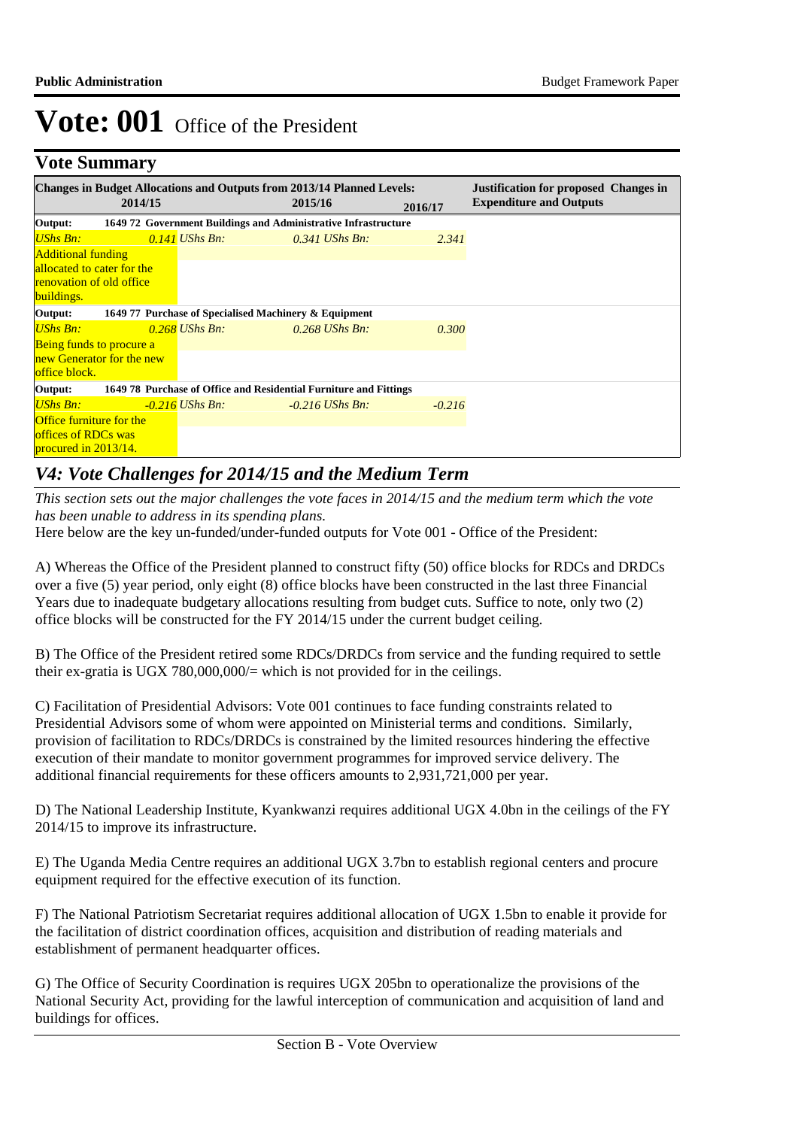## **Vote Summary**

|                                    |         | <b>Changes in Budget Allocations and Outputs from 2013/14 Planned Levels:</b> |         |                   |          | <b>Justification for proposed Changes in</b> |
|------------------------------------|---------|-------------------------------------------------------------------------------|---------|-------------------|----------|----------------------------------------------|
|                                    | 2014/15 |                                                                               | 2015/16 |                   | 2016/17  | <b>Expenditure and Outputs</b>               |
| Output:                            |         | 1649 72 Government Buildings and Administrative Infrastructure                |         |                   |          |                                              |
| UShs Bn:                           |         | $0.141$ UShs Bn:                                                              |         | $0.341$ UShs Bn:  | 2.341    |                                              |
| <b>Additional funding</b>          |         |                                                                               |         |                   |          |                                              |
| allocated to cater for the         |         |                                                                               |         |                   |          |                                              |
| <b>renovation of old office</b>    |         |                                                                               |         |                   |          |                                              |
| buildings.                         |         |                                                                               |         |                   |          |                                              |
| Output:                            |         | 1649 77 Purchase of Specialised Machinery & Equipment                         |         |                   |          |                                              |
| <b>UShs Bn:</b>                    |         | $0.268$ UShs Bn:                                                              |         | $0.268$ UShs Bn:  | 0.300    |                                              |
| Being funds to procure a           |         |                                                                               |         |                   |          |                                              |
| new Generator for the new          |         |                                                                               |         |                   |          |                                              |
| office block.                      |         |                                                                               |         |                   |          |                                              |
| Output:                            |         | 1649 78 Purchase of Office and Residential Furniture and Fittings             |         |                   |          |                                              |
| UShs Bn:                           |         | $-0.216$ UShs Bn:                                                             |         | $-0.216$ UShs Bn: | $-0.216$ |                                              |
| <b>Office furniture for the</b>    |         |                                                                               |         |                   |          |                                              |
| offices of RDCs was                |         |                                                                               |         |                   |          |                                              |
| procured in $201\overline{3}/14$ . |         |                                                                               |         |                   |          |                                              |

## *V4: Vote Challenges for 2014/15 and the Medium Term*

*This section sets out the major challenges the vote faces in 2014/15 and the medium term which the vote has been unable to address in its spending plans.*

Here below are the key un-funded/under-funded outputs for Vote 001 - Office of the President:

A) Whereas the Office of the President planned to construct fifty (50) office blocks for RDCs and DRDCs over a five (5) year period, only eight (8) office blocks have been constructed in the last three Financial Years due to inadequate budgetary allocations resulting from budget cuts. Suffice to note, only two (2) office blocks will be constructed for the FY 2014/15 under the current budget ceiling.

B) The Office of the President retired some RDCs/DRDCs from service and the funding required to settle their ex-gratia is UGX 780,000,000/= which is not provided for in the ceilings.

C) Facilitation of Presidential Advisors: Vote 001 continues to face funding constraints related to Presidential Advisors some of whom were appointed on Ministerial terms and conditions. Similarly, provision of facilitation to RDCs/DRDCs is constrained by the limited resources hindering the effective execution of their mandate to monitor government programmes for improved service delivery. The additional financial requirements for these officers amounts to 2,931,721,000 per year.

D) The National Leadership Institute, Kyankwanzi requires additional UGX 4.0bn in the ceilings of the FY 2014/15 to improve its infrastructure.

E) The Uganda Media Centre requires an additional UGX 3.7bn to establish regional centers and procure equipment required for the effective execution of its function.

F) The National Patriotism Secretariat requires additional allocation of UGX 1.5bn to enable it provide for the facilitation of district coordination offices, acquisition and distribution of reading materials and establishment of permanent headquarter offices.

G) The Office of Security Coordination is requires UGX 205bn to operationalize the provisions of the National Security Act, providing for the lawful interception of communication and acquisition of land and buildings for offices.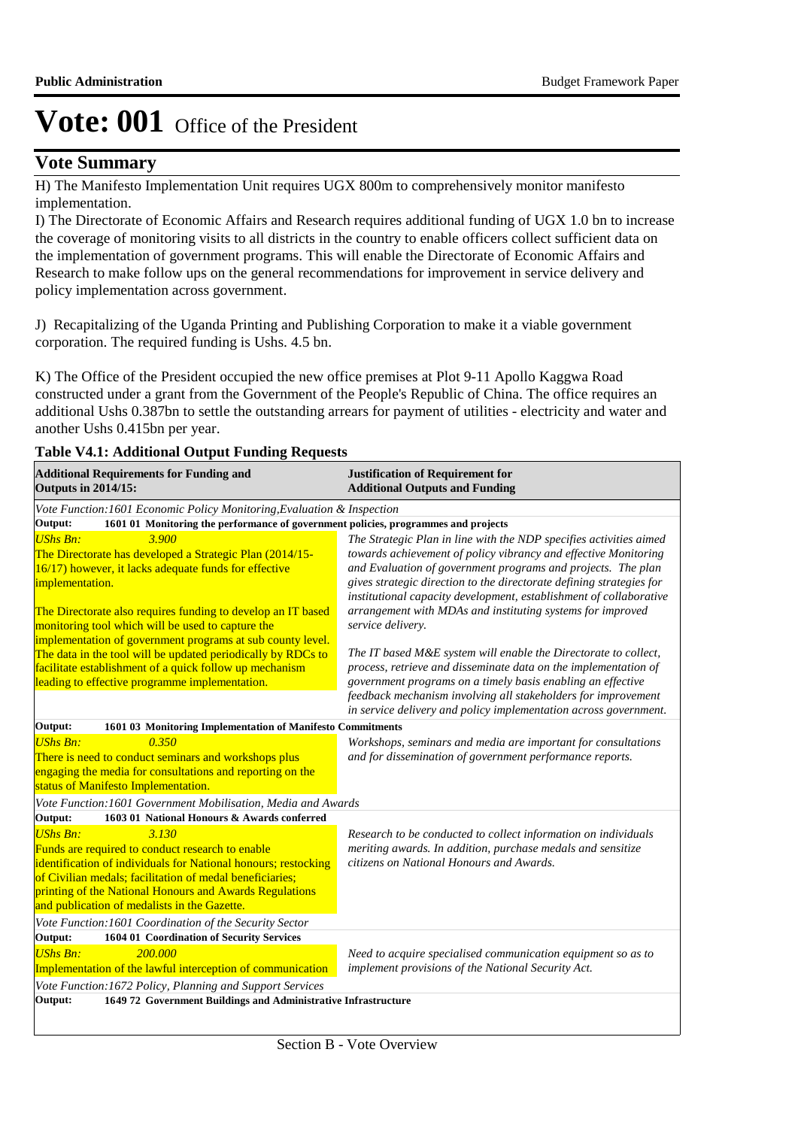## **Vote Summary**

H) The Manifesto Implementation Unit requires UGX 800m to comprehensively monitor manifesto implementation.

I) The Directorate of Economic Affairs and Research requires additional funding of UGX 1.0 bn to increase the coverage of monitoring visits to all districts in the country to enable officers collect sufficient data on the implementation of government programs. This will enable the Directorate of Economic Affairs and Research to make follow ups on the general recommendations for improvement in service delivery and policy implementation across government.

J) Recapitalizing of the Uganda Printing and Publishing Corporation to make it a viable government corporation. The required funding is Ushs. 4.5 bn.

K) The Office of the President occupied the new office premises at Plot 9-11 Apollo Kaggwa Road constructed under a grant from the Government of the People's Republic of China. The office requires an additional Ushs 0.387bn to settle the outstanding arrears for payment of utilities - electricity and water and another Ushs 0.415bn per year.

#### **Table V4.1: Additional Output Funding Requests**

| <b>Additional Requirements for Funding and</b><br><b>Outputs in 2014/15:</b>                                                                                                                                                                                                                                                                        | <b>Justification of Requirement for</b><br><b>Additional Outputs and Funding</b>                                                                                                                                                                                                                                                                                                                                                       |  |  |  |  |  |  |
|-----------------------------------------------------------------------------------------------------------------------------------------------------------------------------------------------------------------------------------------------------------------------------------------------------------------------------------------------------|----------------------------------------------------------------------------------------------------------------------------------------------------------------------------------------------------------------------------------------------------------------------------------------------------------------------------------------------------------------------------------------------------------------------------------------|--|--|--|--|--|--|
| Vote Function: 1601 Economic Policy Monitoring, Evaluation & Inspection                                                                                                                                                                                                                                                                             |                                                                                                                                                                                                                                                                                                                                                                                                                                        |  |  |  |  |  |  |
| 1601 01 Monitoring the performance of government policies, programmes and projects<br>Output:                                                                                                                                                                                                                                                       |                                                                                                                                                                                                                                                                                                                                                                                                                                        |  |  |  |  |  |  |
| <b>UShs Bn:</b><br>3.900<br>The Directorate has developed a Strategic Plan (2014/15-<br>16/17) however, it lacks adequate funds for effective<br>implementation.<br>The Directorate also requires funding to develop an IT based<br>monitoring tool which will be used to capture the<br>implementation of government programs at sub county level. | The Strategic Plan in line with the NDP specifies activities aimed<br>towards achievement of policy vibrancy and effective Monitoring<br>and Evaluation of government programs and projects. The plan<br>gives strategic direction to the directorate defining strategies for<br>institutional capacity development, establishment of collaborative<br>arrangement with MDAs and instituting systems for improved<br>service delivery. |  |  |  |  |  |  |
| The data in the tool will be updated periodically by RDCs to<br>facilitate establishment of a quick follow up mechanism<br>leading to effective programme implementation.                                                                                                                                                                           | The IT based M&E system will enable the Directorate to collect,<br>process, retrieve and disseminate data on the implementation of<br>government programs on a timely basis enabling an effective<br>feedback mechanism involving all stakeholders for improvement<br>in service delivery and policy implementation across government.                                                                                                 |  |  |  |  |  |  |
| Output:<br>1601 03 Monitoring Implementation of Manifesto Commitments                                                                                                                                                                                                                                                                               |                                                                                                                                                                                                                                                                                                                                                                                                                                        |  |  |  |  |  |  |
| <b>UShs Bn:</b><br>0.350<br>There is need to conduct seminars and workshops plus<br>engaging the media for consultations and reporting on the<br>status of Manifesto Implementation.                                                                                                                                                                | Workshops, seminars and media are important for consultations<br>and for dissemination of government performance reports.                                                                                                                                                                                                                                                                                                              |  |  |  |  |  |  |
| Vote Function: 1601 Government Mobilisation, Media and Awards<br>Output:<br>1603 01 National Honours & Awards conferred                                                                                                                                                                                                                             |                                                                                                                                                                                                                                                                                                                                                                                                                                        |  |  |  |  |  |  |
| <b>UShs Bn:</b><br>3.130<br>Funds are required to conduct research to enable<br>identification of individuals for National honours; restocking<br>of Civilian medals; facilitation of medal beneficiaries;<br>printing of the National Honours and Awards Regulations<br>and publication of medalists in the Gazette.                               | Research to be conducted to collect information on individuals<br>meriting awards. In addition, purchase medals and sensitize<br>citizens on National Honours and Awards.                                                                                                                                                                                                                                                              |  |  |  |  |  |  |
| Vote Function: 1601 Coordination of the Security Sector                                                                                                                                                                                                                                                                                             |                                                                                                                                                                                                                                                                                                                                                                                                                                        |  |  |  |  |  |  |
| 1604 01 Coordination of Security Services<br>Output:                                                                                                                                                                                                                                                                                                |                                                                                                                                                                                                                                                                                                                                                                                                                                        |  |  |  |  |  |  |
| <b>UShs Bn:</b><br>200.000<br>Implementation of the lawful interception of communication<br>Vote Function: 1672 Policy, Planning and Support Services                                                                                                                                                                                               | Need to acquire specialised communication equipment so as to<br>implement provisions of the National Security Act.                                                                                                                                                                                                                                                                                                                     |  |  |  |  |  |  |
| 1649 72 Government Buildings and Administrative Infrastructure<br>Output:                                                                                                                                                                                                                                                                           |                                                                                                                                                                                                                                                                                                                                                                                                                                        |  |  |  |  |  |  |
|                                                                                                                                                                                                                                                                                                                                                     |                                                                                                                                                                                                                                                                                                                                                                                                                                        |  |  |  |  |  |  |